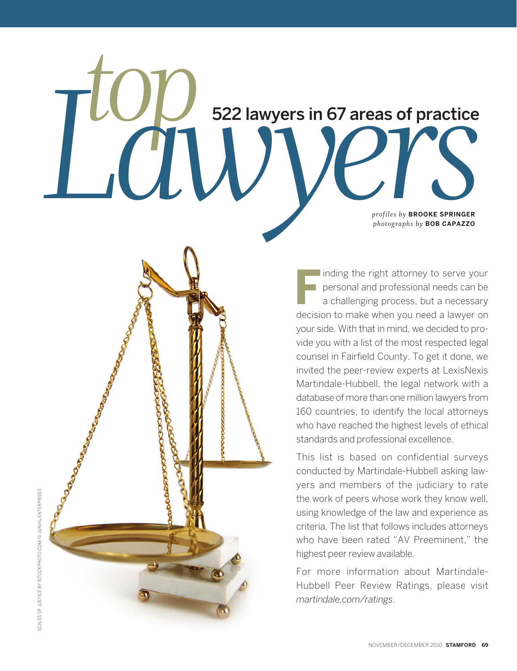# **top** 522 lawyers in 67 areas of practice<br> **only and the Contract of Practice**<br>
Photographs by BOOKE SPRINGER<br>
Photographs by BOB CAPAZZO *prof iles by* **BROOKE SPRINGER**  *photographs by* **BOB CAPAZZO** 522 lawyers in 67 areas of practice

 **F** I inding the right attorney to serve your personal and professional needs can be a challenging process, but a necessary decision to make when you need a lawyer on your side. With that in mind, we decided to provide you with a list of the most respected legal counsel in Fairfield County. To get it done, we invited the peer-review experts at LexisNexis Martindale-Hubbell, the legal network with a database of more than one million lawyers from 160 countries, to identify the local attorneys who have reached the highest levels of ethical standards and professional excellence.

This list is based on confidential surveys conducted by Martindale-Hubbell asking lawyers and members of the judiciary to rate the work of peers whose work they know well, using knowledge of the law and experience as criteria. The list that follows includes attorneys who have been rated "AV Preeminent," the highest peer review available.

For more information about Martindale-Hubbell Peer Review Ratings, please visit *martindale.com/ratings*.

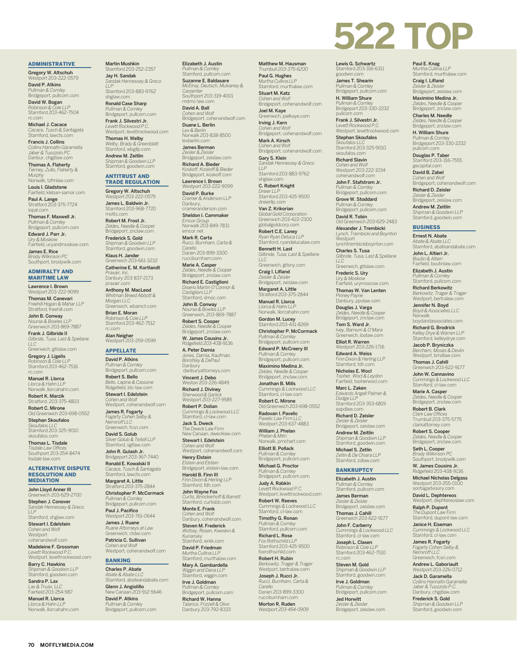## ADMINISTRATIVE

Gregory W. Altschuh<br>Westport 203-222-0579

David P. Atkins *Pullman & Comley* Bridgeport, pullcom.com

David W. Bogan *Robinson & Cole LLP* Stamford 203-462-7504 rc.com

Michael J. Cacace *Cacace, Tusch & Santagata* Stamford, lawcts.com

Francis J. Collins *Collins Hannafin Garamella Jaber & Tuozzolo PC* Danbur, chgjtlaw.com

Thomas A. Flaherty *Tierney, Zullo, Flaherty & Murphy* Norwalk, tzfmlaw.com Louis I. Gladstone

Fairfield, kleban-samor.com **Paul A. Lange<br>Stratford 203-375-7724** 

lopal.com Thomas F. Maxwell Jr. *Pullman & Comley* Bridgeport, pullcom.com

Edward J. Parr Jr. *Ury & Moskow* Fairfield, uryandmoskow.com

James E. Rice *Brody Wilkinson PC* Southport, brodywilk.com

#### ADMIRALTY AND MARITIME LAW

Lawrence I. Brown Westport 203-222-9099

Thomas M. Canevari *Freehill Hogan & Mahar LLP* Stratford, freehill.com

John B. Conway *Nourse & Bowles LLP* Greenwich 203-869-7887

Frank J. Gilbride II *Gilbride, Tusa, Last & Spellane LLC*

Greenwich, gtlslaw.com Gregory J. Ligelis *Robinson & Cole LLP* Stamford 203-462-7516 rc.com

Manuel R. Llorca *Llorca & Hahn LLP* Norwalk, llorcahahn.com Robert K. Marzik

Stratford. 203-375-4803 Robert C. Mirone<br>Old Greenwich 203-698-0552

Stephan Skoufalos *Skoufalos LLC* Stamford 203-325-9010 skoufalos.com

Thomas L. Tisdale *Tisdale Law Offices* Southport 203-254-8474 tisdale-law.com

#### ALTERNATIVE DISPUTE RESOLUTION AND **MEDIATION**

John Lloyd Anner III Greenwich 203-629-2700 Stephen J. Conover *Sandak Hennessey & Greco LLP* Stamford, shglaw.com Stewart I. Edelstein *Cohen and Wolf* Westport cohenandwolf.com

Madeleine F. Grossman *Levett Rockwood P.C.* Westport, levettrockwood.com

Barry C. Hawkins *Shipman & Goodwin LLP* Stamford, goodwin.com

Sandra P. Lax *Lax & Truax, LLC* Fairfield 203-254-987

Manuel R. Llorca *Llorca & Hahn LLP* Norwalk, llorcahahn.com

**70 MOFFLYMEDIA.COM**

#### Martin Mushkin Stamford 203-252-2357

Jay H. Sandak *Sandak Hennessey & Greco LLP* Stamford 203-883-9762 shglaw.com

Ronald Case Sharp *Pullman & Comley* Bridgeport, pullcom.com Frank J. Silvestri Jr.

*Levett Rockwood P.C.* Westport, levettrockwood.com Thomas H. Welby *Welby, Brady & Greenblatt* Stamford, wbgllp.com Andrew M. Zeitlin *Shipman & Goodwin LLP* Stamford, goodwin.com

#### ANTITRUST AND TRADE REGULATION

Gregory W. Altschuh Westport 203-222-0579

James L. Baldwin Jr. Stamford 203-968-7720 motts.com

Robert M. Frost Jr. *Zeldes, Needle & Cooper* Bridgeport, znclaw.com Frederick S. Gold *Shipman & Goodwin LLP* Stamford, goodwin.com

**Klaus H. Jander**<br>Greenwich 203-661-3232 Catherine E. M. Kortlandt

*Praxair, Inc.* Danbury 203-837-2173 praxair.com Anthony M. MacLeod

*Whitman Breed Abbott & Morgan LLC* Greenwich, wbamct.com

Brian E. Moran *Robinson & Cole LLP* Stamford 203-462-7512 rc.com

**Alan Neigher**<br>Westport 203-259-0599

# APPELLATE

David P. Atkins *Pullman & Comley* Bridgeport, pullcom.com

Robert S. Bello *Bello, Lapine & Cassone* Ridgefield, blc-law.com Stewart I. Edelstein *Cohen and Wolf* Westport, cohenandwolf.com

James R. Fogarty *Fogarty Cohen Selby & Nemiroff LLC* Greenwich, fcsn.com

David S. Golub *Silver Golub & Teitell LLP* Stamford, sgtlaw.com

**John R. Gulash Jr.**<br>Bridgeport 203-367-7440 Ronald E. Kowalski II

*Cacace, Tusch & Santagata* Stamford, lawcts.com Margaret A. Little Stratford 203-375-2844

Christopher P. McCormack *Pullman & Comley* Bridgeport, pullcom.com

**Paul J. Pacifico**<br>Westport 203-761-0644 James J. Ruane *Ruane Attorneys at Law* Greenwich, ctdwi.com Patricia C. Sullivan

*Cohen and Wolf* Westport, cohenandwolf.com

# BANKING

Charles P. Abate *Abate & Abate LLC* Stamford, abateandabate.com Glenn J. Angiolillo

203-912-5646 David P. Atkins *Pullman & Comley* Bridgeport, pullcom.com

Elizabeth J. Austin *Pullman & Comley* Stamford, pullcom.com Suzanne E. Baldasare

*McElroy, Deutsch, Mulvaney & Carpenter* Southport 203-319-4001 mdmc-law.com David A. Ball

*Cohen and Wolf* Bridgeport, cohenandwolf.com Duane L. Berlin *Lev & Berlin* Norwalk 203-838-8500 levberlin.com

James Berman *Zeisler & Zeisler* Bridgeport, zeislaw.com Richard A. Bieder

*Koskoff, Koskoff & Bieder* Bridgeport, koskoff.com Lawrence I. Brown Westport 203-222-9099 David P. Burke

*Cramer & Anderson LLP* Danbury, crameranderson.com Sheldon I. Cammaker *Emcor Group* Norwalk 203-849-7831

emcor.net Mark R. Carta *Rucci, Burnham, Carta & Carello* Darien 203-899-3300

rucciburnham.com Marie A. Casper *Zeldes, Needle & Cooper* Bridgeport, znclaw.com

Richard E. Castiglioni *Diserio Martin O'Connor & Castiglioni LLP* Stamford, dmoc.com

John B. Conway *Nourse & Bowles LLP* Greenwich, 203-869-7887 **Robert S. Cooper**<br>*Zeldes, Needle & Cooper*<br>Bridgeport, znclaw.com

W. James Cousins Jr. Ridgefield 203-438-9136 A. Peter Damia *Jones, Damia, Kaufman, Borofsky & DePaul*

Danbury danburyattorneys.com **Vincent J. Debo**<br>Weston 203-226-4849

Richard J. Diviney *Sherwood & Garlick* Westport 203-227-9585 Robert P. Dolian

*Cummings & Lockwood LLC* Stamford, cl-law.com Jack S. Dweck *The Dweck Law Firm* New Canaan, dwecklaw.com

Stewart I. Edelstein *Cohen and Wolf* Westport, cohenandwolf.com Henry Elstein *Elstein and Elstein*

Bridgeport, elstein-law.com Harold B. Finn III *Finn Dixon & Herling LLP* Stamford, fdh.com

John Wayne Fox *Curtis, Brinckerhoff & Barrett* Stamford, curtisbb.com

Monte E. Frank *Cohen and Wolf* Danbury, cohenandwolf.com

Steven M. Frederick *Wofsey, Rosen, Kweskin & Kuriansky* Stamford, wrkk.com David P. Friedman

*Murtha Cullina LLP* Stamford, murthalaw.com Mary A. Gambardella

*Wiggin and Dana LLP* Stamford, wiggin.com Irve J. Goldman *Pullman & Comley* Bridgeport, pullcom.com Richard W. Hanna *Talarico, Frizzell & Olivo* Danbury 203-792-8333

Matthew M. Hausman *Trumbull 203-375-6200* Paul G. Hughes

*Murtha Cullina LLP* Stamford, murthalaw.com Stuart M. Katz

**Lewis G. Schwartz**<br>Stamford 203-316-6311<br>goodwin.com James T. Shearin *Pullman & Comley* Bridgeport, pullcom.com H. William Shure *Pullman & Comley* Bridgeport 203-330-2232 pullcom.com Frank J. Silvestri Jr. *Levett Rockwood P.C.* Westport, levettrockwood.com Stephan Skoufalos *Skoufalos LLC* Stamford 203-325-9010 skoufalos.com Richard Slavin *Cohen and Wolf* Westport 203-222-1034 cohenandwolf.com John F. Stafstrom Jr. *Pullman & Comley* Bridgeport, pullcom.com Grove W. Stoddard *Pullman & Comley* Bridgeport, pullcom.com **David R. Tobin**<br>Old Greenwich 203-629-2483 Alexander J. Trembicki *Lynch, Trembicki and Boynton*

Westport

*LLC*

rc.com Steven M. Gold *Shipman & Goodwin LLP* Stamford, goodwin.com Irve J. Goldman *Pullman & Comley* Bridgeport, pullcom.com Jed Horwitt *Zeisler & Zeisler* Bridgeport, zeislaw.com

lynchtrembickiboynton.com Charles S. Tusa *Gilbride, Tusa, Last & Spellane* 

Greenwich, gtlslaw.com Frederic S. Ury *Ury & Moskow* Fairfield, urymoscow.com Thomas W. Van Lenten *Pinney Payne* Danbury, ppvlaw.com Douglas J. Varga *Zeldes, Needle & Cooper* Zeldes, Needle & Coope<br>Bridgeport, znclaw.com Tom S. Ward Jr. *Ivey, Barnum & O'Mara* Greenwich, ibolaw.com Elliot R. Warren Westport 203-226-1716 Edward A. Weiss *Finn Dixon & Herling LLP* Stamford, fdh.com Nicholas E. Wocl *Tooher, Wocl & Leydon* Fairfield, tooherwocl.com Marc L. Zaken *Edwards Angell Palmer & Dodge LLP* Stamford 203-353-6819 eapdlaw.com Richard D. Zeisler *Zeisler & Zeisler* Bridgeport, zeislaw.com Andrew M. Zeitlin *Shipman & Goodwin LLP* Stamford, goodwin.com Michael S. Zetlin *Zetlin & De Chiara LLP* Stamford, zdlaw.com **BANKRUPTCY** Elizabeth J. Austin *Pullman & Comley* Stamford, pullcom.com James Berman *Zeisler & Zeisler* Bridgeport, zeislaw.com Thomas J. Cahill **nas J. Carlill**<br>nwich 203-622-9177 John F. Carberry *Cummings & Lockwood LLC* Stamford, cl-law.com **Joseph L. Clasen**<br>Robinson & Cole LLP *Robinson & Cole LLP* Stamford 203-462-7510

**Paul E. Knag**<br>*Murtha Cullina LLP*<br>Stamford, murthalaw.com Craig I. Lifland *Zeisler & Zeisler* Bridgeport, zeislaw.com Maximino Medina Jr. *Zeldes, Needle & Cooper* Bridgeport, znclaw.com Charles M. Needle *Zeldes, Needle & Cooper* Bridgeport, znclaw.com H. William Shure *Pullman & Comley* Bridgeport 203-330-2232 pullcom.com Douglas P. Taber ford 203-316-7555 gecapital.com David B. Zabel *Cohen and Wolf* Bridgeport, cohenandwolf.com Richard D. Zeisler *Zeisler & Zeisler* Bridgeport, zeislaw.com Andrew M. Zeitlin *Shipman & Goodwin LLP* Stamford, goodwin.com **BUSINESS** Ernest N. Abate *Abate & Abate LLC* Stamford, abateandabate.com John L. Altieri Jr. *Boutin & Altieri* Fairfield, boutinlaw.com Elizabeth J. Austin *Pullman & Comley* Stamford, pullcom.com Richard Berkowitz *Berkowitz, Trager & Trager* Westport, bertralaw.com Jennifer N. Boyd *Boyd & Associates LLC* **Norwalk** boydandassociates.com Richard G. Brodrick *Kelley Drye & Warren LLP* Stamford, kelleydrye.com Jacob P. Bryniczka *Berchem, Moses & Devlin* Westport, bmdlaw.com Thomas J. Cahill Greenwich 203-622-9177 John W. Cannavino *Cummings & Lockwood LLC* Stamford, cl-law.com **Marie A. Casper**<br>*Zeldes, Needle & Cooper*<br>Bridgeport, znclaw.com Robert B. Clark *Clark Law Offices* Trumbull 203-375-5775 arkattorney.con Robert S. Cooper *Zeldes, Needle & Cooper* Bridgeport, znclaw.com Seth L. Cooper *Brody Wilkinson PC* Southport, brodywilk.com W. James Cousins Jr. Ridgefield 203-438-9136 Michael Nicholas Delgass Westport 203-255-010 sontagadvisory.com David L. Dephtereos Westport, dephtereoslaw.com Ralph P. Dupont *The Dupont Law Firm* Stamford, dupont-law.com Janice H. Eiseman *Cummings & Lockwood LLC* Stamford, cl-law.com **James R. Fogarty**<br>Fogarty Coben Selby & *Fogarty Cohen Selby & Nemiroff LLC* Greenwich, fcsn.com Andrew L. Gaboriault Westport 203-226-0712 Jack D. Garamella *Collins Hannafin Garamella Jaber & Tuozzolo P.C.* Danbury, chgjtlaw.com Frederick S. Gold *Shipman & Goodwin LLP* Stamford, goodwin.com

**522 TOP** 

*Cohen and Wolf* Bridgeport, cohenandwolf.com Joel M. Kaye joelkaye.com

Irving J. Kern

*Cohen and Wolf* Bridgeport, cohenandwolf.com Mark A. Kirsch *Cohen and Wolf* Bridgeport, cohenandwolf.com

Gary S. Klein *Sandak Hennessey & Greco LLP* Stamford 203-883-9762

shglaw.com C. Robert Knight *Dreier LLP*

Stamford 203-425-9500 dreierllp.com Van Z. Krikorian

*Global Gold Corporation* Greenwich 203-422-2300 globalgoldcorp.com

Robert C.E. Laney *Ryan Ryan Deluca LLP* nobort olar aanog<br>Ryan Ryan Deluca LLP<br>Stamford, ryandelucalaw.com

Bennett H. Last *Gilbride, Tusa, Last & Spellane LLC* Greenwich, gtlsny.com

Craig I. Lifland *Zeisler & Zeisler* Bridgeport, zeislaw.com

Margaret A. Little at Strate 2014<br>Ord 203-375-2844 Manuel R. Llorca

*Llorca & Hahn LLP* Norwalk, llorcahahn.com **Gordon M. Lucey**<br>Stamford 203-431-8269

Christopher P. McCormack *Pullman & Comley*

Bridgeport, pullcom.com Edward P. McCreery III *Pullman & Comley* Bridgeport, pullcom.com

Maximino Medina Jr. *Zeldes, Needle & Cooper* Bridgeport, znclaw.com

**Jonathan B. Mills**<br>*Cummings & Lockwood LLC*<br>Stamford, cl-law.com Robert C. Mirone

Old Greenwich 203-698-0552 Radovan I. Pavelic

*Pavelic Law Firm LLC* Westport 203-637-4883 William J. Phelan *Phelan & Mitri*

Norwalk, pmchart.com Elliott B. Pollack *Pullman & Comley* Bridgeport, pullcom.com

Michael G. Proctor *Pullman & Comley* Bridgeport, pullcom.com

Judy A. Rabkin *Levett Rockwood P.C.* Westport, levettrockwood.com

Robert W. Reeves *Cummings & Lockwood LLC* Stamford, cl-law.com

Timothy G. Ronan *Pullman & Comley* Stamford, pullcom.com

Richard L. Rose *Fox Rothschild LLP* Stamford 203-425-9500 foxrothschild.com

Darien 203-899-3300 rucciburnham.com Morton R. Ruden *Westport 203-454-0909*

Robert H. Rubin *Berkowitz, Trager & Trager* Westport, bertralaw.com Joseph J. Rucci Jr. *Rucci, Burnham, Carta &* 

*Carello*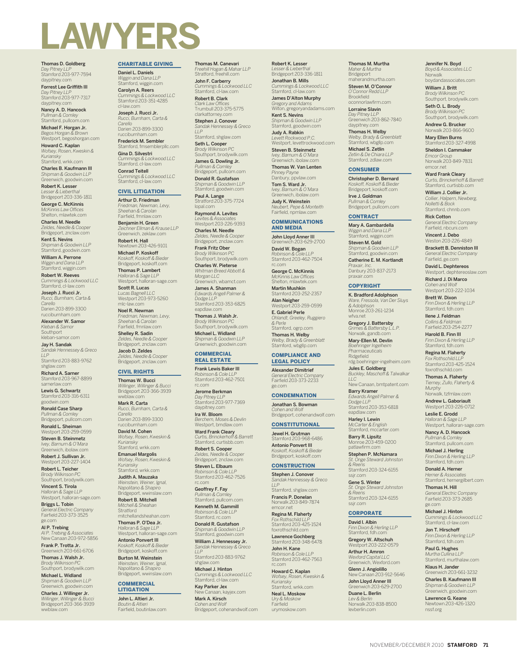

Thomas D. Goldberg *Day Pitney LLP* Stamford 203-977-7594 daypitney.co

Forrest Lee Griffith III *Day Pitney LLP* Stamford 203-977-7317

daypitney.com Nancy A. D. Hancock *Pullman & Comley* Stamford, pullcom.com Michael F. Horgan Jr.

*Begos Horgan & Brown* Westport, begoshorgan.com Howard C. Kaplan

*Wofsey, Rosen, Kweskin & Kuriansky* Stamford, wrkk.com Charles B. Kaufmann III *Shipman & Goodwin LLP*

Greenwich, goodwin.com Robert K. Lesser *Lesser & Lieberthal* Bridgeport 203-336-1811 George C. McKinnis

*McKinnis Law Offices* Shelton, mlawtek.com Charles M. Needle

*Zeldes, Needle & Cooper* Bridgeport, znclaw.com Kent S. Nevins *Shipman & Goodwin LLP* Stamford, goodwin.com

William A. Perrone *Wiggin and Dana LLP* Stamford, wiggin.com

Robert W. Reeves *Cummings & Lockwood LLC* Stamford, cl-law.com

Joseph J. Rucci Jr. *Rucci, Burnham, Carta & Carello* Darien 203-899-3300 rucciburnham.com

Alexander W. Samor *Kleban & Samor*

Southport kleban-samor.com Jay H. Sandak *Sandak Hennessey & Greco LLP* Stamford 203-883-9762

shglaw.com Richard A. Sarner Stamford 203-967-8899 sarnerlaw.com

Lewis G. Schwartz Stamford 203-316-6311 goodwin.com

Ronald Case Sharp *Pullman & Comley* Bridgeport, pullcom.com Ronald L. Sheiman

Westport 203-259-0599 Steven B. Steinmetz

*Ivey, Barnum & O'Mara* Greenwich, ibolaw.com Robert J. Sullivan Jr. Westport 203-227-1404 Robert L. Teicher

*Brody Wilkinson PC* Southport, brodywilk.com

**Vincent S. Tirola**<br>*Halloran & Sage LLP*<br>Westport, halloran-sage.com

Briggs L. Tobin *General Electric Company* Fairfield 203-373-3525 ge.com

**Al P. Trebing**<br>Al P. Trebing & Associates<br>New Canaan 203-972-5856

**Frank P. Trotta Jr.**<br>Greenwich 203-661-6706 Thomas J. Walsh Jr.

*Brody Wilkinson PC* Southport, brodywilk.com Michael L. Widland

*Shipman & Goodwin LLP* Greenwich, goodwin.com Charles J. Willinger Jr. *Willinger, Willinger & Bucci* Bridgeport 203-366-3939 wwblaw.com

#### CHARITABLE GIVING

Daniel L. Daniels *Wiggin and Dana LLP* Stamford, wiggin.com

Carolyn A. Reers *Cummings & Lockwood LLC* Stamford 203-351-4285 cl-law.com

Joseph J. Rucci Jr. *Rucci, Burnham, Carta & Carello* Darien 203-899-3300

rucciburnham.com Frederick M. Sembler

Stamford, fmsemblerpllc.com Gina D. Silvestri *Cummings & Lockwood LLC* Stamford, cl-law.com Conrad Teitell

*Cummings & Lockwood LLC* Stamford, cl-law.com CIVIL LITIGATION

# Arthur D. Friedman

*Friedman, Newman, Levy, Sheehan & Carolan* Fairfield, fmnlaw.com

Benjamin H. Green *Zeichner Ellman & Krause LLP* Greenwich, zeklaw.com Robert H. Hall

Newtown 203-426-9101 Michael P. Koskoff

*Koskoff, Koskoff & Bieder* Bridgeport, koskoff.com Thomas P. Lambert *Halloran & Sage LLP* Westport, halloran-sage.com

Scott R. Lucas *Lucas Bagnell LLC* Westport 203-973-5260 -law.com

Noel R. Newman *Friedman, Newman, Levy, Sheehan & Carolan* Fairfield, fmnlaw.com

Shelley R. Sadin *Zeldes, Needle & Cooper* Bridgeport, znclaw.com

Jacob D. Zeldes *Zeldes, Needle & Cooper* Bridgeport, znclaw.com

# CIVIL RIGHTS

Thomas W. Bucci *Willinger, Willinger & Bucci* Bridgeport 203-366-3939 wwblaw.com

Mark R. Carta *Rucci, Burnham, Carta & Carello* Darien 203-899-3300 rucciburnham.com

David M. Cohen *Wofsey, Rosen, Kweskin & Kuriansky* Stamford, wrkk.com

**Emanuel Margolis**<br>Wofsey Rosen Kweskin & *Wofsey, Rosen, Kweskin & Kuriansky*

Stamford, wrkk.com Judith A. Mauzaka *Weinstein, Weiner, Ignal, Napolitano & Shapiro*

Bridgeport, wwinslaw.com Robert B. Mitchell *Mitchell & Sheahan* Stratford

mitchellandsheahan.com Thomas P. O'Dea Jr.

*Halloran & Sage LLP* Westport, halloran-sage.com Antonio Ponvert III *Koskoff, Koskoff & Bieder* Bridgeport, koskoff.com

Burton M. Weinstein *Weinstein, Weiner, Ignal, Napolitano & Shapiro* Bridgeport, wwinslaw.com

#### **COMMERCIAL LITIGATION**

John L. Altieri Jr. *Boutin & Altieri* Fairfield, boutinlaw.com Thomas M. Canevari *Freehill Hogan & Mahar LLP* Stratford, freehill.com John F. Carberry

*Cummings & Lockwood LLC* Stamford, cl-law.com Robert B. Clark

*Clark Law Offices* Trumbull 203-375-5775 clarkattorney.com Stephen J. Conover *Sandak Hennessey & Greco* 

*LLP* Stamford, shglaw.com

**Seth L. Cooper**<br>*Brody Wilkinson PC*<br>Southport, brodywilk.com James G. Dowling Jr.

*Pullman & Comley* Bridgeport, pullcom.com Donald R. Gustafson

*Shipman & Goodwin LLP* Stamford, goodwin.com

**Paul A. Lange**<br>Stratford 203-375-7724 lopal.com Raymond A. Levites

*Levites & Associates* Westport 203-226-9393 Charles M. Needle

*Zeldes, Needle & Cooper* Bridgeport, znclaw.com

**Frank Fritz Ober**<br>*Brody Wilkinson PC*<br>Southport, brodywilk.com Charles W. Pieterse

*Whitman Breed Abbott & Morgan LLC* Greenwich, wbamct.com

James A. Shanman *Edwards Angell Palmer & Dodge LLP* Stamford 203-353-6825

eapdlaw.com Thomas J. Walsh Jr.

*Brody Wilkinson PC* Southport, brodywilk.com Michael L. Widland *Shipman & Goodwin LLP* Greenwich, goodwin.com

#### **COMMERCIAL** REAL ESTATE

Frank Lewis Baker III *Robinson & Cole LLP* Stamford 203-462-7501 rc.com

Jerome Berkman *Day Pitney LLP* Stamford 203-977-7369 daypitney.com Ira W. Bloom

*Berchem, Moses & Devlin* Westport, bmdlaw.com

Ward Frank Cleary *Curtis, Brinckerhoff & Barrett* Stamford, curtisbb.com Robert S. Cooper *Zeldes, Needle & Cooper*

Bridgeport, znclaw.com Steven L. Elbaum

*Robinson & Cole LLP* Stamford 203-462-7526 rc.com

Geoffrey F. Fay *Pullman & Comley* Stamford, pullcom.com Kenneth M. Gammill *Robinson & Cole LLP* Stamford, rc.com

Donald R. Gustafson *Shipman & Goodwin LLP* Stamford, goodwin.com

William J. Hennessey Jr. *Sandak Hennessey & Greco LLP*

Stamford 203-883-9762 shglaw.com Michael J. Hinton

*Cummings & Lockwood LLC* Stamford, cl-law.com Kay Parker Jex

Canaan, kayjex.com Mark A. Kirsch *Cohen and Wolf* Bridgeport, cohenandwolf.com Robert K. Lesser *Lesser & Lieberthal* Bridgeport 203-336-1811 Jonathan B. Mills

*Cummings & Lockwood LLC* Stamford, cl-law.com James D'Alton Murphy

Thomas M. Murtha *Maher & Murtha* Bridgeport maherandmurtha.com Steven M. O'Connor *O'Connor Redd LLP* Brookfield oconnorlawfirm.com Lorraine Slavin *Day Pitney LLP* Greenwich 203-862-7840 daypitney.com Thomas H. Welby *Welby, Brady & Greenblatt* Stamford, wbgllp.com Michael S. Zetlin *Zetlin & De Chiara LLP* Stamford, zdlaw.com **CONSUMER** Christopher D. Bernard *Koskoff, Koskoff & Bieder* Bridgeport, koskoff.com Irve J. Goldman *Pullman & Comley* Bridgeport, pullcom.com **CONTRACT** Mary A. Gambardella *Wiggin and Dana LLP* Stamford, wiggin.com Steven M. Gold *Shipman & Goodwin LLP* Stamford, goodwin.com Catherine E. M. Kortlandt *Praxair, Inc.* Danbury 203-837-2173 praxair.com **COPYRIGHT** K. Bradford Adolphson *Ware, Fressola, Van Der Sluys* 

*& Adolphson* Monroe 203-261-1234 wfva.net Gregory J. Battersby *Grimes & Battersby L.L.P.* Norwalk, gandb.com Mary-Ellen M. Devlin *Boehringer Ingelheim Pharmaceuticals* Ridgefield

*LLC*

ssjr.com Gene S. Winter *St. Onge Steward Johnston* 

*& Reens*

ssjr.com CORPORATE David I. Albin *Finn Dixon & Herling LLP* Stamford, fdh.com Gregory W. Altschuh Westport 203-222-0579 Arthur H. Amron *Wexford Capital LLC* Greenwich, Wexford.com Glenn J. Angiolillo New Canaan 203-912-5646 John Lloyd Anner III Greenwich 203-629-2700 Duane L. Berlin *Lev & Berlin* Norwalk 203-838-8500 levberlin.com

Stamford 203-324-6155

rdg.boehringer-ingelheim.com Jules E. Goldberg *Buckley, Maschoff & Talwalkar* 

New Canaan, bmtpatent.com Barry Kramer *Edwards Angell Palmer & Dodge LLP* Stamford 203-353-6818 eapdlaw.com Harley I. Lewin *McCarter & English* Stamford, mccarter.com Barry R. Lipsitz Monroe 203-459-0200 patlawfirm.com Stephen P. McNamara *St. Onge Steward Johnston & Reens* Stamford 203-324-6155

*Gregory and Adams* Wilton, gregoryandadams.com Kent S. Nevins *Shipman & Goodwin LLP* Stamford, goodwin.com Judy A. Rabkin

*Levett Rockwood P.C.* Westport, levettrockwood.com Steven B. Steinmetz *Ivey, Barnum & O'Mara* Greenwich, ibolaw.com Thomas W. Van Lenten

*Pinney Payne* Danbury, ppvlaw.com Tom S. Ward Jr. *Ivey, Barnum & O'Mara* Greenwich, ibolaw.com

Judy K. Weinstein *Neubert, Pepe & Monteith* Fairfield, npmlaw.com

#### COMMUNICATIONS AND MEDIA

John Lloyd Anner III Greenwich 203-629-2700<br>**David W. Bogan**<br>*Robinson & Cole LLP*<br>Stamford 203-462-7504

rc.com George C. McKinnis

*McKinnis Law Offices* Shelton, mlawtek.com Martin Mushkin Stamford 203-252-2357

Alan Neigher Westport 203-259-0599

E. Gabriel Perle *Ohlandt, Greeley, Ruggiero & Perle* Stamford, ogrp.com Thomas H. Welby *Welby, Brady & Greenblatt* Stamford, wbgllp.com

#### COMPLIANCE AND LEGAL POLICY

Alexander Dimitrief *General Electric Company* Fairfield 203-373-2233 ge.com

# **CONDEMNATION**

Jonathan S. Bowman

#### *Cohen and Wolf* Bridgeport, cohenandwolf.com

**CONSTITUTIONAL** Stamford 203-968-6486

Jewel H. Grutman

Antonio Ponvert III *Koskoff, Koskoff & Bieder* Bridgeport, koskoff.com **CONSTRUCTION** Stephen J. Conover *Sandak Hennessey & Greco* 

Stamford, shglaw.com Francis P. Donelan Norwalk 203-849-7874 emcor.net Regina M. Flaherty *Fox Rothschild LLP* Stamford 203-425-1524 foxrothschild.com Lawrence Gochberg<br>Stamford 203-348-6478 John H. Kane *Robinson & Cole LLP* Stamford 203-462-7563

*LLP*

rc.com Howard C. Kaplan *Wofsey, Rosen, Kweskin & Kuriansky* Stamford, wrkk.com Neal L. Moskow *Ury & Moskow* Fairfield urymoskow.com

NOVEMBER/DECEMBER 2010 **STAMFORD 71**

nssf.org

ge.com Michael J. Hinton *Cummings & Lockwood LLC* Stamford, cl-law.com Jon T. Hirschoff *Finn Dixon & Herling LLP* Stamford, fdh.com Paul G. Hughes *Murtha Cullina LLP* Stamford, murthalaw.com Klaus H. Jander Greenwich 203-661-3232 Charles B. Kaufmann III *Shipman & Goodwin LLP* Greenwich, goodwin.com Lawrence G. Keane Newtown 203-426-1320

Jennifer N. Boyd *Boyd & Associates LLC* Norwalk boydandassociates.com William J. Britt *Brody Wilkinson PC* Southport, brodywilk.com Seth O. L. Brody *Brody Wilkinson PC* Southport, brodywilk.com Andrew G. Brucker Norwalk 203-866-9600 Mary Ellen Burns<br>Stamford 203-327-4998 Sheldon I. Cammaker *Emcor Group* Norwalk 203-849-7831 emcor.net Ward Frank Cleary *Curtis, Brinckerhoff & Barrett* Stamford, curtisbb.com William J. Collier Jr. *Collier, Halpern, Newberg, Nolletti & Bock* Stamford, chnnb.com Rick Cotton *General Electric Company* Fairfield, nbcuni.com Vincent J. Debo Weston 203-226-4849 Brackett B. Denniston III *General Electric Company* Fairfield, ge.com David L. Dephtereos Westport, dephtereoslaw.com Richard J. Di Marco *Cohen and Wolf* Westport 203-222-1034 Brett W. Dixon *Finn Dixon & Herling LLP* Stamford, fdh.com Ilene J. Feldman *Collins & Feldman* Fairfield 203-254-2277 Harold B. Finn III *Finn Dixon & Herling LLP* Stamford, fdh.com Regina M. Flaherty **Fox Rothschild LLI** Stamford 203-425-1524 foxrothschild.com Thomas A. Flaherty *Tierney, Zullo, Flaherty & Murphy* Norwalk, tzfmlaw.com Andrew L. Gaboriault Westport 203-226-0712 Leslie E. Grodd *Halloran & Sage LLP* Westport, halloran-sage.com Nancy A. D. Hancock *Pullman & Comley* Stamford, pullcom.com Michael J. Herling *Finn Dixon & Herling LLP* Stamford, fdh.com Donald A. Herner *Herner & Associates* Stamford, hernergilbert.com Thomas H. Hill *General Electric Company* Fairfield 203-373-2685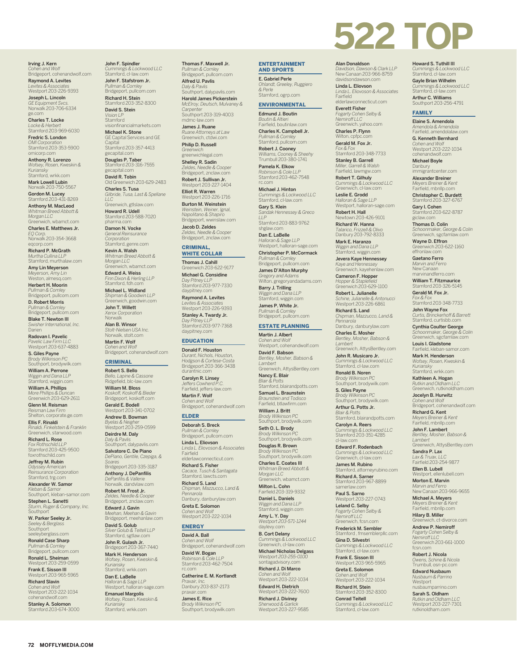Irving J. Kern *Cohen and Wolf* Bridgeport, cohenandwolf.com

Raymond A. Levites *Levites & Associates* Westport 203-226-9393 Joseph L. Lincoln

*GE Equipment Svcs.* Norwalk 203-706-6334 ge.com Charles T. Locke

*Locke & Herbert* Stamford 203-969-6030 Fredric S. London

*OMI Corporation* Stamford 203-353-5900 omicorp.com

Anthony R. Lorenzo *Wofsey, Rosen, Kweskin & Kuriansky* Stamford, wrkk.com Mark Lowell Lubin

Norwalk 203-750-5567 Gordon M. Lucey<br>Stamford 203-431-8269

Anthony M. MacLeod *Whitman Breed Abbott & Morgan LLC* Greenwich, wbamct.com

Charles E. Matthews Jr. *EQ Corp.* Norwalk 203-354-3668 eqcorp.com

Richard P. McGrath *Murtha Cullina LLP* Stamford, murthalaw.com

Amy Lin Meyerson *Meyerson, Amy Lin* Weston, almesq.com

Herbert H. Moorin *Pullman & Comley* Bridgeport, pullcom.com

D. Robert Morris *Pullman & Comley* Bridgeport, pullcom.com Blake T. Newton III

*Swisher International, Inc.* Darien Radovan I. Pavelic

*Pavelic Law Firm LLC* Westport 203-637-4883 S. Giles Payne

*Brody Wilkinson PC* Southport, brodywilk.com

William A. Perrone *Wiggin and Dana LLP* Stamford, wiggin.com William A. Phillips

*More Phillips & Duncan* Greenwich 203-629-2611 Glenn M. Reisman

*Reisman Law Firm* Shelton, corporate.ge.com Ellis F. Rinaldi

*Rinaldi, Finkelstein & Franklin* Greenwich, starwood.com Richard L. Rose *Fox Rothschild LLP* Stamford 203-425-9500 foxrothschild.com

Jeffrey M. Rubin *Odyssey American Reinsurance Corporation* Stamford, trg.com

Alexander W. Samor *Kleban & Samor* Southport, kleban-samor.com

Stephen L. Sanetti *Sturm, Ruger & Company, Inc.* Southport

W. Parker Seeley Jr. *Seeley & Berglass* Southport seeleyberglass.com

Ronald Case Sharp *Pullman & Comley* Bridgeport, pullcom.com

Ronald L. Sheiman t 203-259-0599

Frank E. Sisson III Westport 203-965-5965 Richard Slavin *Cohen and Wolf* Westport 203-222-1034 cohenandwolf.com

Stanley A. Solomon Stamford 203-674-3000

**72 MOFFLYMEDIA.COM**

John F. Spindler *Cummings & Lockwood LLC* Stamford, cl-law.com

John F. Stafstrom Jr. *Pullman & Comley* Bridgeport, pullcom.com Richard H. Stein Stamford 203-352-8300 David S. Stein

*Vision LP* Stamford visionfinancialmarkets.com Michael K. Stone GE Capital Services and GE

Capital Stamford 203-357-4413 gecapital.com Douglas P. Taber

Stamford 203-316-7555 gecapital.com David R. Tobin Old Greenwich 203-629-2483

Charles S. Tusa *Gilbride, Tusa, Last & Spellane LLC* Greenwich, gtlslaw.com

**Howard R. Udell**<br>Stamford 203-588-7020<br>pharma.com

Damon N. Vocke *General Reinsurance Corporation*

Stamford, genre.com Kevin A. Walsh *Whitman Breed Abbott & Morgan LLC* Greenwich, wbamct.com

Edward A. Weiss *Finn Dixon & Herling LLP* Stamford, fdh.com Michael L. Widland *Shipman & Goodwin LLP* Greenwich, goodwin.com

John T. Willett *Xerox Corporation* Norwalk

Alan B. Winsor *Stolt-Nielsen USA Inc.* Norwalk, stolt.com

Martin F. Wolf *Cohen and Wolf* Bridgeport, cohenandwolf.com

# CRIMINAL

Robert S. Bello *Bello, Lapine & Cassone* Ridgefield, blc-law.com William M. Bloss *Koskoff, Koskoff & Bieder* Bridgeport, koskoff.com Gerald E. Bodell Westport 203-341-0702

Andrew B. Bowman *Byelas & Neigher* Westport 203-259-0599 Deirdre M. Daly

*Daly & Pavlis* Southport, dalypavlis.com Salvatore C. De Piano

*DePiano, Gentile, Czepiga, & Soares* Bridgeport 203-335-3187

Anthony J. DePanfilis *DePanfilis & Vallerie* Norwalk, dandvlaw.com Robert M. Frost Jr.

*Zeldes, Needle & Cooper* Bridgeport, znclaw.com Edward J. Gavin

*Meehan, Meehan & Gavin* Bridgeport, meehanlaw.com

**David S. Golub**<br>*Silver Golub & Teitell LLP*<br>Stamford, sgtlaw.com **John R. Gulash Jr.**<br>Bridgeport 203-367-7440

**Mark H. Henderson**<br>Wofsey, Rosen, Kweskin &<br>Kuriansky<br>Stamford, wrkk.com

**Dan E. LaBelle**<br>Halloran & Sage LLP<br>Westport, halloran-sage.com

**Emanuel Margolis**<br>Wofsey, Rosen, Kweskin &<br>Kuriansky<br>Stamford, wrkk.com

Thomas F. Maxwell Jr. *Pullman & Comley* Bridgeport, pullcom.com

Alfred U. Pavlis *Daly & Pavlis* Southport, dalypavlis.com Harold James Pickerstein *McElroy, Deutsch, Mulvaney & Carpenter* Southport 203-319-4003

mdmc-law.com James J. Ruane *Ruane Attorneys at Law* Greenwich, ctdwi.com

Philip D. Russell *Greenwich*  greenwichlegal.com Shelley R. Sadin *Zeldes, Needle & Cooper* Bridgeport, znclaw.com

Robert J. Sullivan Jr. Westport 203-227-1404 Elliot R. Warren

Westport 203-226-1716 Burton M. Weinstein *Weinstein, Weiner, Ignal, Napolitano & Shapiro* Bridgeport, wwinslaw.com Jacob D. Zeldes

*Zeldes, Needle & Cooper* Bridgeport, znclaw.com

# CRIMINAL, WHITE COLLAR

Thomas J. Cahill

Greenwich 203-622-9177 Michael G. Considine *Day Pitney LLP* Stamford 203-977-7330

daypitney.com Raymond A. Levites *Levites & Associates* Westport 203-226-9393 Stanley A. Twardy Jr. *Day Pitney LLP* Stamford 203-977-7368 daypitney.com

# EDUCATION

Donald F. Houston *Durant, Nichols, Houston, Hodgson & Cortese-Costa* Bridgeport 203-366-3438

durantnic.com **Carolyn R. Linsey**<br>*Jeffers Cowherd P.C.*<br>Fairfield, jeffers-law.com Martin F. Wolf *Cohen and Wolf*

Bridgeport, cohenandwolf.com ELDER

# Deborah S. Breck

*Pullman & Comley* Bridgeport, pullcom.com Linda L. Eliovson *Linda L. Eliovoson & Associates* Fairfield elderlawconnecticut.com

**Richard S. Fisher**<br>*Cacace, Tusch & Santagata*<br>Stamford, lawcts.com

Richard S. Land *Chipman, Mazzucco, Land & Pennarola* Danbury, danburylaw.com Greta E. Solomon

*Cohen and Wolf* Westport 203-222-1034

# ENERGY David A. Ball

*Cohen and Wolf* Bridgeport, cohenandwolf.com David W. Bogan *Robinson & Cole LLP* Stamford 203-462-7504

rc.com Catherine E. M. Kortlandt

*Praxair, Inc.* Danbury 203-837-2173 praxair.com James E. Rice *Brody Wilkinson PC* Southport, brodywilk.com ENTERTAINMENT AND SPORTS

**522 TOP** 

**Alan Donaldson**<br>*Davidson, Dawson & Clark LLP*<br>New Canaan 203-966-8759 davidsondawson.com Linda L. Eliovson *Linda L. Eliovoson & Associates* Fairfield elderlawconnecticut.com Everett Fisher *Fogarty Cohen Selby & Nemiroff LLC* Greenwich, yahoo.com Charles P. Flynn Wilton, cpfpc Gerald M. Fox Jr. *Fox & Fox* Stamford 203-348-7733 Stanley B. Garrell *Miller, Garrell & Walsh* Fairfield, lawmgw.com Robert T. Gilhuly *Cummings & Lockwood LLC* Greenwich, cl-law.com Leslie E. Grodd *Halloran & Sage LLP* Westport, halloran-sage.com Robert H. Hall Newtown 203-426-9101 Richard W. Hanna *Talarico, Frizzell & Olivo* Danbury 203-792-8333 Mark E. Haranzo *Wiggin and Dana LLP* Stamford, wiggin.com Jevera Kaye Hennessey *Kaye and Hennessey* Greenwich, kayehenlaw.com Cameron F. Hopper *Hopper & Staplefield* Greenwich 203-629-1100 Robert L. Julianelle *Schine, Julianelle & Antonucci* Westport 203-226-6861 Richard S. Land *Chipman, Mazzucco, Land &* 

Howard S. Tuthill III *Cummings & Lockwood LLC* Stamford, cl-law.com Gayle Brian Wilhelm *Cummings & Lockwood LLC* Stamford, cl-law.com Arthur C. Williams Southport 203-256-4791

**FAMILY** Elaine S. Amendola *Amendola & Amendola* Fairfield, amendolalaw.com G. Kenneth Bernhard *Cohen and Wolf* Westport 203-222-1034 cohenandwolf.com Michael Boyle Danbury immigrantcenter.com Alexander Breiner *Meyers Breiner & Kent* Fairfield, mbnllp.com Christopher C. Burdett Stamford 203-327-6767 Gary I. Cohen Stamford 203-622-8787 giclaw.com Thomas D. Colin *Schoonmaker, George & Colin* Greenwich, sgcfamlaw.com **Wayne D. Effron**<br>Greenwich 203-622-1160<br>effronlaw.com Gaetano Ferro *Marvin and Ferro* New Canaan marvinandferro.com William T. Fitzmaurice Stamford 203-326-5145 Gerald M. Fox Jr. *Fox & Fox* Stamford 203-348-7733 John Wayne Fox *Curtis, Brinckerhoff & Barrett* Stamford, curtisbb.com Cynthia Coulter George *Schoonmaker, George & Colin* Greenwich, sgcfamlaw.com Louis I. Gladstone Fairfield, kleban-samor.com Mark H. Henderson *Wofsey, Rosen, Kweskin & Kuriansky* Stamford, wrkk.com Kathleen A. Hogan *Rutkin and Oldham LLC* Greenwich, rutkinoldham.com Jocelyn B. Hurwitz *Cohen and Wolf* Bridgeport, cohenandwolf.com Richard G. Kent *Meyers Breiner & Kent* Fairfield, mbnllp.com John F. Lambert *Bentley, Mosher, Babson & Lambert* Greenwich, AttysBentley.com

Sandra P. Lax *Lax & Truax, LLC* Fairfield 203-254-9877 Ellen B. Lubell estport, ellenlubell.com Morton E. Marvin *Marvin and Ferro* New Canaan 203-966-9655 Michael A. Meyers *Meyers Breiner & Kent* Fairfield, mbnllp.com **Hilary B. Miller**<br>Greenwich ct-di nwich, ct-divorce.com Andrew P. Nemiroff *Fogarty Cohen Selby & Nemiroff LLC* Greenwich 203-661-1000

fcsn.com Robert J. Nicola *Owens, Schine & Nicola* Trumbull, osn-pc.com Edward Nusbaum *Nusbaum & Parrino* Westport nusbaumparrino.com Sarah S. Oldham *Rutkin and Oldham LLC* Westport 203-227-7301 rutkinoldham.com

# E. Gabriel Perle *Ohlandt, Greeley, Ruggiero & Perle*

Stamford, ogrp.com ENVIRONMENTAL Edmund J. Boutin

*Boutin & Altieri* Fairfield, boutinlaw.com Charles K. Campbell Jr.

*Pullman & Comley* Stamford, pullcom.com Robert J. Cooney

*Williams, Cooney & Sheehy* Trumbull 203-380-1741 Pamela K. Elkow *Robinson & Cole LLP* Stamford 203-462-7548

rc.com<br>Michael I Hinton **Michael J. Hinton**<br>*Cummings & Lockwood LLC*<br>Stamford, cl-law.com

Gary S. Klein *Sandak Hennessey & Greco LLP*

Stamford 203-883-9762 shglaw.com Dan E. LaBelle

*Halloran & Sage LLP* Westport, halloran-sage.com Christopher P. McCormack *Pullman & Comley* Bridgeport, pullcom.com

James D'Alton Murphy *Gregory and Adams* Wilton, gregoryandadams.com

**Barry J. Trilling**<br>W*iggin and Dana LLP*<br>Stamford, wiggin.com James P. White Jr.

*Pullman & Comley* Bridgeport, pullcom.com ESTATE PLANNING

Martin J. Albert

*Pennarola* Danbury, danburylaw.com Charles E. Mosher *Bentley, Mosher, Babson &* 

*Lambert*

cl-law.com Edward F. Rodenbach *Cummings & Lockwood LLC* Greenwich, cl-law.com James M. Rubino Stamford, attorneyrubino.com Richard A. Sarner Stamford 203-967-8899 sarnerlaw.com **Paul S. Sarno**<br>Westport 203-227-0743

Leland C. Selby *Fogarty Cohen Selby & Nemiroff LLC* Greenwich, fcsn.com Frederick M. Sembler Stamford , fmsemblerpllc.com Gina D. Silvestri *Cummings & Lockwood LLC* Stamford, cl-law.com Frank E. Sisson III Westport 203-965-5965 Greta E. Solomon *Cohen and Wolf* Westport 203-222-1034 Richard H. Stein Stamford 203-352-8300 Conrad Teitell *Cummings & Lockwood LLC* Stamford, cl-law.com

Greenwich, AttysBentley.com John R. Musicaro Jr. *Cummings & Lockwood LLC* Stamford, cl-law.com Ronald B. Noren *Brody Wilkinson PC* Southport, brodywilk.com S. Giles Payne *Brody Wilkinson PC* Southport, brodywilk.com Arthur G. Potts Jr. *Blair & Potts* Stamford, blairandpotts.com Carolyn A. Reers *Cummings & Lockwood LLC* Stamford 203-351-4285

*Cohen and Wolf* Westport, cohenandwolf.com David F. Babson *Bentley, Mosher, Babson & Lambert*

Greenwich, AttysBentley.com Nancy E. Blair *Blair & Potts* Stamford, blairandpotts.com Samuel L. Braunstein

*Braunstein and Todisco* Fairfield, btlawfirm.com William J. Britt

*Brody Wilkinson PC* Southport, brodywilk.com South Port ...<br>Seth O. L. Brody *Brody Wilkinson PC* Southport, brodywilk.com

Douglas R. Brown *Brody Wilkinson PC* Southport, brodywilk.com Charles E. Coates III

*Whitman Breed Abbott & Morgan LLC* Greenwich, wbamct.com Milton L. Cohn Fairfield 203-319-9332

Daniel L. Daniels *Wiggin and Dana LLP* Stamford, wiggin.com

**Amy L. Y. Day**<br>Westport 203-571-1244<br>daylevy.com B. Cort Delany

*Cummings & Lockwood LLC* Greenwich, cl-law.com Michael Nicholas Delgass *Westport 203-255-0100* sontagadvisory.com Richard J. Di Marco *Cohen and Wolf* Westport 203-222-1034 Edward H. Dietrich Westport 203-222-7600 Richard J. Diviney *Sherwood & Garlick* Westport 203-227-9585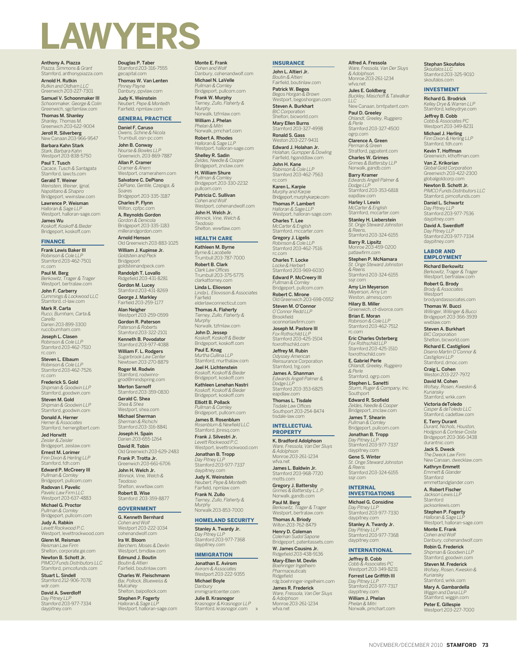

**Anthony A. Piazza**<br>*Piazza, Simmons & Grant*<br>Stamford, anthonypiazza.com Arnold H. Rutkin *Rutkin and Oldham LLC* Greenwich 203-227-7301 Samuel V. Schoonmaker III

*Schoonmaker, George & Colin* Greenwich, sgcfamlaw.com Thomas M. Shanley

*Shanley, Thomas M.* Greenwich 203-622-9004 **Jeroll R. Silverberg**<br>New Canaan 203-966-9547

Barbara Kahn Stark

*Stark, Barbara Kahn* Westport 203-838-5750 Paul T. Tusch

*Cacace, Tusch & Santagata* Stamford, lawcts.com Gerald T. Weiner

*Weinstein, Weiner, Ignal, Napolitano & Shapiro* Bridgeport, wwinslaw.com

Lawrence P. Weisman *Halloran & Sage LLP* Westport, halloran-sage.com

**James Wu**<br>Koskoff, Koskoff & Bieder<br>Bridgeport, koskoff.com

# FINANCE

Frank Lewis Baker III *Robinson & Cole LLP* Stamford 203-462-7501 rc.com

Paul M. Berg *Berkowitz, Trager & Trager* Westport, bertralaw.com John F. Carberry

*Cummings & Lockwood LLC* Stamford, cl-law.com Mark R. Carta

*Rucci, Burnham, Carta & Carello* Darien 203-899-3300 rucciburnham.com

Joseph L. Clasen *Robinson & Cole LLP* Stamford 203-462-7510 rc.com

Steven L. Elbaum *Robinson & Cole LLP* Stamford 203-462-7526 rc.com

Frederick S. Gold *Shipman & Goodwin LLP* Stamford, goodwin.com Steven M. Gold

*Shipman & Goodwin LLP* Stamford, goodwin.com Donald A. Herner

*Herner & Associates* Stamford, hernergilbert.com Jed Horwitt

*Zeisler & Zeisler* Bridgeport, zeislaw.com Ernest M. Lorimer

*Finn Dixon & Herling LLP* Stamford, fdh.com Edward P. McCreery III

*Pullman & Comley* Bridgeport, pullcom.com Radovan I. Pavelic

*Pavelic Law Firm LLC* Westport 203-637-4883 Michael G. Proctor

*Pullman & Comley* Bridgeport, pullcom.com

Judy A. Rabkin *Levett Rockwood P.C.* Westport, levettrockwood.com Glenn M. Reisman

*Reisman Law Firm* Shelton, corporate.ge.com Newton B. Schott Jr.

*PIMCO Funds Distributors LLC* Stamford, pimcofunds.com Stuart L. Sindell Stamford 212-906-7078

wdr.com David A. Swerdloff *Day Pitney LLP* Stamford 203-977-7334 daypitney.com

**Douglas P. Taber**<br>Stamford 203-316-7555<br>gecapital.com Thomas W. Van Lenten

*Pinney Payne* Danbury, ppvlaw.com Judy K. Weinstein *Neubert, Pepe & Monteith* Fairfield, npmlaw.com

# GENERAL PRACTICE

Daniel F. Caruso *Owens, Schine & Nicola*

Trumbull, osn-pc.com John B. Conway *Nourse & Bowles LLP* Greenwich, 203-869-7887

Allan P. Cramer *Cramer & Ahern* Westport, cramerahern.com

Salvatore C. DePiano *DePiano, Gentile, Czepiga, & Soares* Bridgeport 203-335-3187

Charles P. Flynn Wilton, cpfp

A. Reynolds Gordon *Gordon & Denicola* Bridgeport 203-335-1183 millerandgordon.com Arnold Henson

Old Greenwich 203-883-1025 William J. Kupinse Jr. *Goldstein and Peck* Bridgeport goldsteinandpeck.com Randolph T. Lovallo Ridgefield 203-431-8281 **Gordon M. Lucey**<br>Stamford 203-431-8269 George J. Markley Fairfield 203-259-1177 **Alan Neigher**<br>Westport 203-259-0599 Gordon R. Paterson *Paterson & Roberts* Stamford 203-322-2101 Kenneth B. Povodator Stamford 203-977-4088 William F. L. Rodgers *Sugarbrook Law Center* Newtown 203-270-8879 Roger M. Rodwin aford, rodwinro grod@mindspring.com Merton Sarnoff Stamford 203-359-0830 Gerald C. Shea *Shea & Shea* Westport, shea.com Michael Sherman *Sherman & Richichi* Stamford 203-316-8841 Joseph H. Spain 1111**. Spain**<br>1203-655-1264 David R. Tobin

Id Greenwich 203-629-2483 **Frank P. Trotta Jr.**<br>Greenwich 203-661-6706 John H. Welch Jr. *Winnick, Vine, Welch & Teodosio* Shelton, wvwtlaw.com Robert B. Wise Stamford 203-359-8877 **GOVERNMENT** G. Kenneth Bernhard *Cohen and Wolf* Westport 203-222-1034 cohenandwolf.com Ira W. Bloom *Berchem, Moses & Devlin* Westport, bmdlaw.com Edmund J. Boutin *Boutin & Altieri* Fairfield, boutinlaw.com Charles W. Fleischmann *Bai, Pollock, Blueweiss & Mulcahey* Shelton, baipollock.com Stephen P. Fogerty *Halloran & Sage LLP* Westport, halloran-sage.com

# HEALTH CARE

Monte E. Frank *Cohen and Wolf* Danbury, cohenandwolf.com Michael N. LaVelle *Pullman & Comley* Bridgeport, pullcom.com Frank W. Murphy *Tierney, Zullo, Flaherty & Murphy* Norwalk, tzfmlaw.com William J. Phelan *Phelan & Mitri* Norwalk, pmchart.com Robert A. Rhodes *Halloran & Sage LLP* Westport, halloran-sage.com Shelley R. Sadin *Zeldes, Needle & Cooper* Bridgeport, znclaw.com H. William Shure *Pullman & Comley* Bridgeport 203-330-2232 pullcom.com Patricia C. Sullivan *Cohen and Wolf* Westport, cohenandwolf.com John H. Welch Jr. *Winnick, Vine, Welch & Teodosio* Shelton, wvwtlaw.com

Kathleen M. Byrne *Byrne & Lacobelle* Trumbull 203-787-7000 Robert B. Clark

*Clark Law Offices* Trumbull 203-375-5775 clarkattorney.com

Linda L. Eliovson *Linda L. Eliovoson & Associates* Fairfield

elderlawconnecticut.com<br>Thomas A. Flaherty Thomas A. Flaherty *Tierney, Zullo, Flaherty & Murphy*

Norwalk, tzfmlaw.com John D. Jessep *Koskoff, Koskoff & Bieder*

Bridgeport, koskoff.com **Paul E. Knag**<br>*Murtha Cullina LLP*<br>Stamford, murthalaw.com

Joel H. Lichtenstein *Koskoff, Koskoff & Bieder* Bridgeport, koskoff.com

Kathleen Lenehan Nastri *Koskoff, Koskoff & Bieder*

Bridgeport, koskoff.com Elliott B. Pollack *Pullman & Comley* Bridgeport, pullcom.com

**James B. Rosenblum**<br>Rosenblum & Newfield LLC<br>Stamford, jbresq.com

Frank J. Silvestri Jr. *Levett Rockwood P.C.* Westport, levettrockwood.com

Jonathan B. Tropp *Day Pitney LLP* Stamford 203-977-7337 daypitney.com

Judy K. Weinstein *Neubert, Pepe & Monteith* Fairfield, npmlaw.com

Frank N. Zullo *Tierney, Zullo, Flaherty & Murphy* Norwalk 203-853-7000

#### HOMELAND SECURITY

Stanley A. Twardy Jr. *Day Pitney LLP* Stamford 203-977-7368 daypitney.com

#### IMMIGRATION

Jonathan E. Avirom *Avirom & Associates* Westport 203-222-9355 Michael Boyle

Danbury immigrantcenter.com **Julie B. Krasnogor**<br>*Krasnogor & Krasnogor LLP*<br>Stamford, krasnogor.com »

#### INSURANCE

John L. Altieri Jr. *Boutin & Altieri* Fairfield, boutinlaw.com **Patrick W. Begos**<br>*Begos Horgan & Brown*<br>Westport, begoshorgan.com Steven A. Burkhart

*BIC Corporation* Shelton, bicworld.com Mary Ellen Burns Stamford 203-327-4998

Ronald S. Gass Weston 203-227-9431 Edward J. Holahan Jr. *Holahan, Gumpper & Dowling* Fairfield, hganddlaw.com

John H. Kane *Robinson & Cole LLP* Stamford 203-462-7563

rc.com Karen L. Karpie *Murphy and Karpie* Bridgeport, murphykarpie.com

Thomas P. Lambert *Halloran & Sage LLP* Westport, halloran-sage.com Charles T. Lee

*McCarter & English* Stamford, mccarter.com Gregory J. Ligelis *Robinson & Cole LLP* Stamford 203-462-7516

rc.com Charles T. Locke *Locke & Herbert* Stamford 203-969-6030 Edward P. McCreery III

*Pullman & Comley* Bridgeport, pullcom.com

**Robert C. Mirone**<br>Old Greenwich 203-698-0552 Steven M. O'Connor *O'Connor Redd LLP* Brookfield oconnorlawfirm.com Joseph M. Pastore III *Fox Rothschild LLP* Stamford 203-425-1504

foxrothschild.com Jeffrey M. Rubin *Odyssey American Reinsurance Corporation*

Stamford, trg.com James A. Shanman *Edwards Angell Palmer & Dodge LLP* Stamford 203-353-6825

Thomas L. Tisdale *Tisdale Law Offices* Southport 203-254-8474 tisdale-law.com

#### INTELLECTUAL PROPERTY

eapdlaw.com

K. Bradford Adolphson *Ware, Fressola, Van Der Sluys & Adolphson* Monroe 203-261-1234 wfva.net

James L. Baldwin Jr. Stamford 203-968-7720 motts.com

Gregory J. Battersby *Grimes & Battersby L.L.P.* Norwalk, gandb.com

Paul M. Berg *Berkowitz, Trager & Trager* Westport, bertralaw.com **Thomas A. Briody**<br>Wilton 203-762-8479

Henry D. Coleman *Coleman Sudol Sapone* Bridgeport, patentassets.com

W. James Cousins Jr. Ridgefield 203-438-9136 Mary-Ellen M. Devlin

*Boehringer Ingelheim Pharmaceuticals* **Ridgefield** rdg.boehringer-ingelheim.com James R. Frederick *Ware, Fressola, Van Der Sluys & Adolphson* Monroe 203-261-1234

wfva.net

Alfred A. Fressola *Ware, Fressola, Van Der Sluys & Adolphson* Monroe 203-261-1234 wfva.net

Stephan Skoufalos *Skoufalos LLC* Stamford 203-325-9010 skoufalos.com INVESTMENT Richard G. Brodrick *Kelley Drye & Warren LLP* Stamford, kelleydrye.com Jeffrey B. Cobb *Cobb & Associates PC* Westport 203-349-8231 **Michael J. Herling**<br>Finn Dixon & Herling LLP<br>Stamford, fdh.com Kevin T. Hoffman Greenwich, kthoffman.com Van Z. Krikorian *Global Gold Corporation* Greenwich 203-422-2300 globalgoldcorp.com Newton B. Schott Jr. *PIMCO Funds Distributors LLC* Stamford, pimcofunds.com Daniel L. Schwartz *Day Pitney LLP* Stamford 203-977-7536 daypitney.com David A. Swerdloff *Day Pitney LLP* Stamford 203-977-7334 daypitney.com LABOR AND EMPLOYMENT Richard Berkowitz *Berkowitz, Trager & Trager* Westport, bertralaw.com Robert G. Brody **Brody & Associa Westport** brodyandassociates.com Thomas W. Bucci *Willinger, Willinger & Bucci* Bridgeport 203-366-3939 wwblaw.com Steven A. Burkhart *BIC Corporation* Shelton, bicworld.com Richard E. Castiglioni *Diserio Martin O'Connor & Castiglioni LLP* Stamford, dmoc.com **Craig L. Cohen**<br>Weston 203-227-7972 David M. Cohen *Wofsey, Rosen, Kweskin & Kuriansky* Stamford, wrkk.com Victoria deToledo *Casper & deToledo LLC* Stamford, cadetlaw.com E. Terry Durant *Durant, Nichols, Houston, Hodgson & Cortese-Costa* Bridgeport 203-366-3438 durantnic.com Jack S. Dweck *The Dweck Law Firm* New Canaan, dwecklaw.com Kathryn Emmett *Emmett & Glander* Stamford emmettandglander.com A. Robert Fischer *Jackson Lewis LLP* Stamford<br>jacksonlewis.com Stephen P. Fogerty *Halloran & Sage LLP* Westport, halloran-sage.com Monte E. Frank *Cohen and Wolf* Danbury, cohenandwolf.com Robin G. Frederick *Shipman & Goodwin LLP* Stamford, goodwin.com Steven M. Frederick *Wofsey, Rosen, Kweskin & Kuriansky* Stamford, wrkk.com Mary A. Gambardella *Wiggin and Dana LLP* Stamford, wiggin.com **Peter E. Gillespie**<br>Westport 203-227-7000

Jules E. Goldberg *Buckley, Maschoff & Talwalkar LLC* New Canaan, bmtpatent.com

Paul D. Greeley *Ohlandt, Greeley, Ruggiero & Perle* Stamford 203-327-4500 ogrp.com

Clarence A. Green *Perman & Green* Stratford, pgpatent.com

Charles W. Grimes *Grimes & Battersby LLP* Norwalk, gandb.com

Barry Kramer *Edwards Angell Palmer & Dodge LLP* Stamford 203-353-6818 eapdlaw.com

Harley I. Lewin *McCarter & English* Stamford, mccarter.com Stanley H. Lieberstein

*St. Onge Steward Johnston & Reens,*  Stamford 203-324-6155

**Barry R. Lipsitz**<br>Monroe 203-459-0200<br>patlawfirm.com Stephen P. McNamara *St. Onge Steward Johnston & Reens* Stamford 203-324-6155

ssjr.com Amy Lin Meyerson *Meyerson, Amy Lin* Weston, almesq.com

Hilary B. Miller Greenwich, ct-divorce.com Brian E. Moran *Robinson & Cole LLP* Stamford 203-462-7512

Eric Charles Osterberg *Fox Rothschild LLP* Stamford 203-425-1510 foxrothschild.com

rc.com

E. Gabriel Perle *Ohlandt, Greeley, Ruggiero & Perle*

Stamford, ogrp.com Stephen L. Sanetti *Sturm, Ruger & Company, Inc.* Southport

Edward R. Scofield *Zeldes, Needle & Cooper* Bridgeport, znclaw.com

James T. Shearin *Pullman & Comley* Bridgeport, pullcom.com

Jonathan B. Tropp *Day Pitney LLP* Stamford 203-977-7337 daypitney.com

Gene S. Winter *St. Onge Steward Johnston & Reens* Stamford 203-324-6155 ssjr.com

#### INTERNAL INVESTIGATIONS

Stanley A. Twardy Jr. *Day Pitney LLP* Stamford 203-977-7368 daypitney.com INTERNATIONAL Jeffrey B. Cobb *Cobb & Associates PC* Westport 203-349-8231 Forrest Lee Griffith III *Day Pitney LLP* Stamford 203-977-7317 daypitney.com William J. Phelan *Phelan & Mitri* Norwalk, pmchart.com

Michael G. Considine *Day Pitney LLP* Stamford 203-977-7330 daypitney.com

NOVEMBER/DECEMBER 2010 **STAMFORD 73**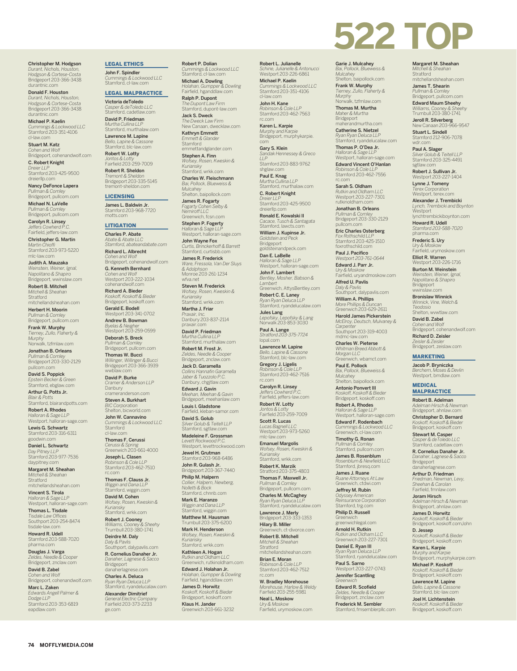Christopher M. Hodgson *Durant, Nichols, Houston, Hodgson & Cortese-Costa* Bridgeport 203-366-3438 durantnic.com

Donald F. Houston *Durant, Nichols, Houston, Hodgson & Cortese-Costa* Bridgeport 203-366-3438 durantnic.com

Michael P. Kaelin *Cummings & Lockwood LLC* Stamford 203-351-4106 cl-law.com

Stuart M. Katz *Cohen and Wolf* Bridgeport, cohenandwolf.com

C. Robert Knight *Dreier LL* Stamford 203-425-9500 dreierllp.com

Nancy DeFonce Lapera *Pullman & Comley* Bridgeport, pullcom.com

Michael N. LaVelle *Pullman & Comley* Bridgeport, pullcom.com

**Carolyn R. Linsey**<br>*Jeffers Cowherd P.C.*<br>Fairfield, jeffers-law.com

Christopher G. Martin *Martin Chioffi* Stamford 203-973-5220

mlc-law.com Judith A. Mauzaka *Weinstein, Weiner, Ignal,* 

*Napolitano & Shapiro* Bridgeport, wwinslaw.com Robert B. Mitchell *Mitchell & Sheahan*

**Stratford** mitchellandsheahan.com Herbert H. Moorin

*Pullman & Comley* Bridgeport, pullcom.com Frank W. Murphy

*Tierney, Zullo, Flaherty & Murphy* Norwalk, tzfmlaw.com Jonathan B. Orleans *Pullman & Comley*

Bridgeport 203-330-2129 pullcom.com David S. Poppick

*Epstein Becker & Green* Stamford, ebglaw.com Arthur G. Potts Jr.

*Blair & Potts* Stamford, blairandpotts.com

**Robert A. Rhodes**<br>*Halloran & Sage LLP*<br>Westport, halloran-sage.com Lewis G. Schwartz

Stamford 203-316-6311 goodwin.com Daniel L. Schwartz

*Day Pitney LLP* Stamford 203-977-7536 daypitney.com

Margaret M. Sheahan *Mitchell & Sheahan* Stratford mitchellandsheahan.com

Vincent S. Tirola *Halloran & Sage LLP* Westport, halloran-sage.com

Thomas L. Tisdale *Tisdale Law Offices* Southport 203-254-8474 tisdale-law.com Howard R. Udell

Stamford 203-588-7020 pharma.com

Douglas J. Varga *Zeldes, Needle & Cooper* Bridgeport, znclaw.com

David B. Zabel *Cohen and Wolf* Bridgeport, cohenandwolf.com

Marc L. Zaken *Edwards Angell Palmer & Dodge LLP* Stamford 203-353-6819 eapdlaw.com

**74 MOFFLYMEDIA.COM**

#### LEGAL ETHICS

John F. Spindler *Cummings & Lockwood LLC* Stamford, cl-law.com

## LEGAL MALPRACTICE

Victoria deToledo *Casper & deToledo LLC* Stamford, cadetlaw.com David P. Friedman

*Murtha Cullina LLP* Stamford, murthalaw.com Lawrence M. Lapine

*Bello, Lapine & Cassone* Stamford, blc-law.com Robert W. Lotty

*Jontos & Lotty* Fairfield 203-259-7009 Robert R. Sheldon *Tremont & Sheldon* Bridgeport 203-335-5145 tremont-sheldon.com

#### **LICENSING**

James L. Baldwin Jr. Stamford 203-968-7720 motts.com

#### LITIGATION

Charles P. Abate *Abate & Abate LLC Stamford, abateandabate.com*

Richard L. Albrecht *Cohen and Wolf* Bridgeport, cohenandwolf.com G. Kenneth Bernhard

*Cohen and Wolf* Westport 203-222-1034 cohenandwolf.com

Richard A. Bieder *Koskoff, Koskoff & Bieder* Bridgeport, koskoff.com

Gerald E. Bodell Westport 203-341-0702 Andrew B. Bowman *Byelas & Neigher* Westport 203-259-0599

Deborah S. Breck *Pullman & Comley* Bridgeport, pullcom.com

**Thomas W. Bucci**<br>Willinger, Willinger & Bucci<br>Bridgeport 203-366-3939<br>wwblaw.com

David P. Burke *Cramer & Anderson LLP*

Danbury crameranderson.com Steven A. Burkhart *BIC Corporation*

Shelton, bicworld.com **John W. Cannavino**<br>*Cummings & Lockwood LLC*<br>Stamford

cl-law.com Thomas F. Cerussi *Cerussi & Spring* Greenwich 203-661-4000

**Joseph L. Clasen**<br>*Robinson & Cole LLP*<br>Stamford 203-462-7510 rc.com

Thomas F. Clauss Jr. *Wiggin and Dana LLP* Stamford, wiggin.com

David M. Cohen *Wofsey, Rosen, Kweskin & Kuriansky* Stamford, wrkk.com

**Robert J. Cooney**<br>Williams, Cooney & Sheehy<br>Trumbull 203-380-1741 Deirdre M. Daly

*Daly & Pavlis* Southport, dalypavlis.com R. Cornelius Danaher Jr.

*Danaher, Lagnese & Sacco* Bridgeport danaherlagnese.com Charles A. Deluca

*Ryan Ryan Deluca LLP* Stamford, ryandelucalaw.com Alexander Dimitrief

*General Electric Company* Fairfield 203-373-2233 ge.com

#### Robert P. Dolian

*Cummings & Lockwood LLC* Stamford, cl-law.com **Michael A. Dowling**<br>Holahan, Gumpper & Dowling<br>Fairfield, hganddlaw.com

Ralph P. Dupont *The Dupont Law Firm* Stamford, dupont-law.com

**Jack S. Dweck**<br>*The Dweck Law Firm*<br>New Canaan, dwecklaw.com Kathryn Emmett *Emmett & Glander* Stamford

stamiord<br>emmettandglander.com Stephen A. Finn *Wofsey, Rosen, Kweskin &* 

*Kuriansky* Stamford, wrkk.com Charles W. Fleischmann *Bai, Pollock, Blueweiss &* 

*Mulcahey* Shelton, baipollock.com James R. Fogarty *Fogarty Cohen Selby & Nemiroff LLC*

Greenwich, fcsn.com Stephen P. Fogerty *Halloran & Sage LLP* Westport, halloran-sage.com

John Wayne Fox *Curtis, Brinckerhoff & Barrett* Stamford, curtisbb.com

James R. Frederick *Ware, Fressola, Van Der Sluys & Adolphson* Monroe 203-261-1234

wfva.net Steven M. Frederick *Wofsey, Rosen, Kweskin & Kuriansky* Stamford, wrkk.com

Martha J. Friar *Praxair, Inc.* Danbury 203-837-2114 praxair.com

David P. Friedman *Murtha Cullina LLP* Stamford, murthalaw.com

Robert M. Frost Jr. *Zeldes, Needle & Cooper* Bridgeport, znclaw.com

Jack D. Garamella *Collins Hannafin Garamella Jaber & Tuozzolo P.C.* Danbury, chgjtlaw.com

Edward J. Gavin *Meehan, Meehan & Gavin* Bridgeport, meehanlaw.com Louis I. Gladstone

Fairfield, kleban-samor.com David S. Golub *Silver Golub & Teitell LLP* Stamford, sgtlaw.com

Madeleine F. Grossman *Levett Rockwood P.C.* Westport, levettrockwood.com

Jewel H. Grutman Stamford 203-968-6486

**John R. Gulash Jr.**<br>Bridgeport 203-367-7440 Philip M. Halpern *Collier, Halpern, Newberg, Nolletti & Bock*

Stamford, chnnb.com Mark E. Haranzo *Wiggin and Dana LLP* Stamford, wiggin.com Matthew M. Hausman

Trumbull 203-375-6200 Mark H. Henderson

*Wofsey, Rosen, Kweskin & Kuriansky* Stamford, wrkk.com

**Kathleen A. Hogan**<br>*Rutkin and Oldham LLC*<br>Greenwich, rutkinoldham.com Edward J. Holahan Jr.

*Holahan, Gumpper & Dowling* Fairfield, hganddlaw.com James D. Horwitz *Koskoff, Koskoff & Bieder* Bridgeport, koskoff.com **Klaus H. Jander**<br>Greenwich 203-661-3232

Robert L. Julianelle *Schine, Julianelle & Antonucci* Westport 203-226-6861 Michael P. Kaelin *Cummings & Lockwood LLC* Stamford 203-351-4106

**522 TOP** 

**Margaret M. Sheahan**<br>*Mitchell & Sheahan*<br>Stratford<br>mitchellandsheahan.com James T. Shearin *Pullman & Comley* Bridgeport, pullcom.com Edward Maum Sheehy *Williams, Cooney & Shee*<br>Trumbull 203-380-1741 Trumbull 203-380-1741<br>**Jeroll R. Silverberg**<br>New Canaan 203-966-9547 Stuart L. Sindell Stamford 212-906-7078 wdr.com Paul A. Slager *Silver Golub & Teitell LLP* Stamford 203-325-4491 sgtlaw.com Robert J. Sullivan Jr. Westport 203-227-1404 Lynne J. Tomeny *Terex Corporation* Westport, terex.com Alexander J. Trembicki *Lynch, Trembicki and Boynton*

Westport

lynchtrembickiboynton.com Howard R. Udell *Stamford 203-588-7020* pharma.com Frederic S. Ury *Ury & Moskow* Fairfield, urymoskow.com Elliot R. Warren Westport 203-226-1716 Burton M. Weinstein *Weinstein, Weiner, Ignal, Napolitano & Shapiro* Bridgeport wwinslaw.com Bronislaw Winnick *Winnick, Vine, Welch & Teodosio* Shelton, wvwtlaw.com David B. Zabel

*Cohen and Wolf* Bridgeport, cohenandwolf.com Richard D. Zeisler *Zeisler & Zeisler* Bridgeport, zeislaw.com MARKETING Jacob P. Bryniczka *Berchem, Moses & Devlin* Westport, bmdlaw.com

**MEDICAL MALPRACTICE** Robert B. Adelman *Adelman Hirsch & Newman* Bridgeport, ahnlaw.com Christopher D. Bernard *Koskoff, Koskoff & Bieder* Bridgeport, koskoff.com Stewart M. Casper *Casper & deToledo LLC* Stamford, cadetlaw.com R. Cornelius Danaher Jr. *Danaher, Lagnese & Sacco* Bridgeport danaherlagnese.com Arthur D. Friedman *Friedman, Newman, Levy, Sheehan & Carolan* Fairfield, fmnlaw.com Joram Hirsch *Adelman Hirsch & Newman* Bridgeport, ahnlaw.com James D. Horwitz *Koskoff, Koskoff & Bieder* Bridgeport, koskoff.comJohn D. Jessep *Koskoff, Koskoff & Bieder* Bridgeport, koskoff.com Karen L. Karpie *Murphy and Karpie* Bridgeport, murphykarpie.com Michael P. Koskoff *Koskoff, Koskoff & Bieder* Bridgeport, koskoff.com Lawrence M. Lapine *Bello, Lapine & Cassone* Stamford, blc-law.com Joel H. Lichtenstein *Koskoff, Koskoff & Bieder* Bridgeport, koskoff.com

Garie J. Mulcahey *Bai, Pollock, Blueweiss & Mulcahey* Shelton, baipollock.com **Frank W. Murphy**<br>*Tierney, Zullo, Flaherty &<br>Murphy*<br>Norwalk, tzfmlaw.com Thomas M. Murtha *Maher & Murtha* Bridgeport maherandmurtha.com Catherine S. Nietzel *Ryan Ryan Deluca LLP* Stamford, ryandelucalaw.com Thomas P. O'Dea Jr. *Halloran & Sage LLP* Westport, halloran-sage.com Edward Vincent O'Hanlan *Robinson & Cole LLP* Stamford 203-462-7556

rc.com Sarah S. Oldham *Rutkin and Oldham LLC* Westport 203-227-7301 rutkinoldham.com Jonathan B. Orleans *Pullman & Comley* Bridgeport 203-330-2129 pullcom.com Eric Charles Osterberg *Fox Rothschild LLP* Stamford 203-425-1510 foxrothschild.com Paul J. Pacifico *Westport 203-761-0644* Edward J. Parr Jr. *Ury & Moskow* Fairfield, uryandmoskow.com Alfred U. Pavlis *Daly & Pavlis* Southport, dalypavlis.com William A. Phillips *More Phillips & Duncan* Greenwich 203-629-2611 Harold James Pickerstein<br>McElroy, Deutsch, Mulvanev & *McElroy, Deutsch, Mulvaney & Carpenter* Southport 203-319-4003

mdmc-law.com Charles W. Pieterse *Whitman Breed Abbott & Morgan LLC* Greenwich, wbamct.com Paul E. Pollock *Bai, Pollock, Blueweiss & Mulcahey* Shelton, baipollock.com Antonio Ponvert III *Koskoff, Koskoff & Bieder* Bridgeport, koskoff.com Robert A. Rhodes *Halloran & Sage LLP* Westport, halloran-sage.com Edward F. Rodenbach *Cummings & Lockwood LLC* Greenwich, cl-law.com Timothy G. Ronan *Pullman & Comley* Stamford, pullcom.com **James B. Rosenblum**<br>*Rosenblum & Newfield LLC*<br>Stamford, jbresq.com James J. Ruane *Ruane Attorneys At Law* Greenwich, ctdwi.com Jeffrey M. Rubin *Odyssey American Reinsurance Corporation* Stamford, trg.com Philip D. Russell Greenwich greenwichlegal.com Arnold H. Rutkin *Rutkin and Oldham LLC* Greenwich 203-227-7301 Daniel E. Ryan III *Ryan Ryan Deluca LLP* Stamford, ryandelucalaw.com **Paul S. Sarno**<br>Westport 203-227-0743 Jennifer Scantling *Greenwich*  Edward R. Scofield *Zeldes, Needle & Cooper* Bridgeport, znclaw.com Frederick M. Sembler Stamford, fmsemblerpllc.com

John H. Kane *Robinson & Cole LLP* Stamford 203-462-7563 rc.com

cl-law.com

Karen L. Karpie *Murphy and Karpie* Bridgeport, murphykarpie. com

Gary S. Klein *Sandak Hennessey & Greco LLP* Stamford 203-883-9762

shglaw.c **Paul E. Knag**<br>*Murtha Cullina LLP*<br>Stamford, murthalaw.com

C. Robert Knight *Dreier LLP* Stamford 203-425-9500

dreierllp.com Ronald E. Kowalski II

*Cacace, Tusch & Santagata* Stamford, lawcts.com William J. Kupinse Jr. *Goldstein and Peck* Bridgeport

goldsteinandpeck.com Dan E. LaBelle *Halloran & Sage LLP* Westport, halloran-sage.com

John F. Lambert *Bentley, Mosher, Babson & Lambert* Greenwich, AttysBentley.com

**Robert C. E. Laney**<br>*Ryan Ryan Deluca LLP*<br>Stamford, ryandelucalaw.com

**Jules Lang**<br>Lepofsky, Lepofsky & Lang<br>Norwalk 203-853-3030 **Paul A. Lange**<br>Stratford 203-375-7724<br>Iopal.com

Lawrence M. Lapine *Bello, Lapine & Cassone* Stamford, blc-law.com

Gregory J. Ligelis *Robinson & Cole LLP* Stamford 203-462-7516

rc.com Carolyn R. Linsey *Jeffers Cowherd P.C.* Fairfield, jeffers-law.com

Robert W. Lotty *Jontos & Lotty* Fairfield 203-259-7009

**Scott R. Lucas**<br>*Lucas Bagnell LLC*<br>Westport 203-973-5260 mlc-law.com

Emanuel Margolis *Wofsey, Rosen, Kweskin & Kuriansky* Stamford, wrkk.com

Robert K. Marzik Stratford 203-375-4803 Thomas F. Maxwell Jr.

*Pullman & Comley* Bridgeport, pullcom.com Charles M. McCaghey *Ryan Ryan Deluca LLP* Stamford, ryandelucalaw.com Lawrence J. Merly Bridgeport 203-333-1353 Hilary B. Miller Greenwich, ct-divorce.com Robert B. Mitchell *Mitchell & Sheahan* Stratford mitchellandsheahan.com Brian E. Moran *Robinson & Cole LLP* Stamford 203-462-7512

rc.com

W. Bradley Morehouse *Morehouse, Harlow & Weldy* Fairfield 203-255-5981 Neal L. Moskow *Ury & Moskow* Fairfield, urymoskow.com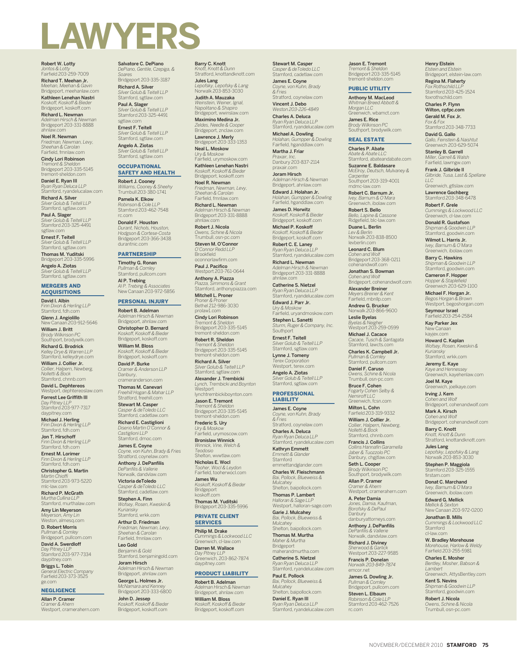# **LAWYERS**

Robert W. Lotty *Jontos & Lotty* Fairfield 203-259-7009 Richard T. Meehan Jr. *Meehan, Meehan & Gavin*

Bridgeport, meehanlaw.com Kathleen Lenehan Nastri *Koskoff, Koskoff & Bieder* Bridgeport, koskoff.com

Richard L. Newman *Adelman Hirsch & Newman* Bridgeport 203-331-8888 ahnlaw.com

Noel R. Newman *Friedman, Newman, Levy, Sheehan & Carolan* Fairfield, fmnlaw.com

Cindy Lori Robinson *Tremont & Sheldon* Bridgeport 203-335-5145 tremont-sheldon.com

Daniel E. Ryan III *Ryan Ryan Deluca LLP* Stamford, ryandelucalaw.com

Richard A. Silver *Silver Golub & Teitell LLP* Stamford, sgtlaw.com

**Paul A. Slager**<br>Silver Golub & Teitell LLP<br>Stamford 203-325-4491 sgtlaw.com Ernest F. Teitell *Silver Golub & Teitell LLP* Stamford, sgtlaw.com

Thomas M. Yuditski<br>Pridgeport 202.225.5006 Bridgeport 203-335-

Angelo A. Ziotas *Silver Golub & Teitell LLP* Stamford, sgtlaw.com

#### MERGERS AND ACQUISITIONS

David I. Albin *Finn Dixon & Herling LLP* Stamford, fdh.com

Glenn J. Angiolillo New Canaan 203-912-5646 William J. Britt

*Brody Wilkinson PC* Southport, brodywilk.com Richard G. Brodrick *Kelley Drye & Warren LLP* Stamford, kelleydrye.com

William J. Collier Jr. *Collier, Halpern, Newberg, Nolletti & Bock* Stamford, chnnb.com

David L. Dephtereos Westport, dephtereoslaw.com

Forrest Lee Griffith III *Day Pitney LLP* Stamford 203-977-7317 daypitney.com

**Michael J. Herling**<br>Finn Dixon & Herling LLP<br>Stamford, fdh.com

Jon T. Hirschoff *Finn Dixon & Herling LLP* Stamford, fdh.com

Ernest M. Lorimer *Finn Dixon & Herling LLP* Stamford, fdh.com Christopher G. Martin

*Martin Chioffi* Stamford 203-973-5220 mlc-law.com

Richard P. McGrath *Murtha Cullina LLP* Stamford, murthalaw.com

Amy Lin Meyerson *Meyerson, Amy Lin* Weston, almesq.com D. Robert Morris

*Pullman & Comley* Bridgeport, pullcom.com David A. Swerdloff

*Day Pitney LLP* Stamford 203-977-7334 daypitney.com Briggs L. Tobin

*General Electric Company* Fairfield 203-373-3525 ge.com

# NEGLIGENCE

Allan P. Cramer *Cramer & Ahern* Westport, cramerahern.com Salvatore C. DePiano *DePiano, Gentile, Czepiga, &* 

*Soares* Bridgeport 203-335-3187 Richard A. Silver *Silver Golub & Teitell LLP*

Stamford, sgtlaw.com **Paul A. Slager**<br>Silver Golub & Teitell LLP<br>Stamford 203-325-4491 sgtlaw.com

Ernest F. Teitell *Silver Golub & Teitell LLP* Stamford, sgtlaw.com

Angelo A. Ziotas *Silver Golub & Teitell LLP* Stamford, sgtlaw.com

## **OCCUPATIONAL** SAFETY AND HEALTH

Robert J. Cooney *Williams, Cooney & Sheehy* Trumbull 203-380-1741

Pamela K. Elkow *Robinson & Cole LLP* Stamford 203-462-7548 rc.com

Donald F. Houston *Durant, Nichols, Houston, Hodgson & Cortese-Costa* Bridgeport 203-366-3438 durantnic.com

# **PARTNERSHIP**

Timothy G. Ronan *Pullman & Comley* Stamford, pullcom.com

**Al P. Trebing**<br>Al P. Trebing & Associates<br>New Canaan 203-972-5856

# PERSONAL INJURY

Robert B. Adelman *Adelman Hirsch & Newman* Bridgeport, ahnlaw.com Christopher D. Bernard *Koskoff, Koskoff & Bieder*

Bridgeport, koskoff.com William M. Bloss *Koskoff, Koskoff & Bieder* Bridgeport, koskoff.com David P. Burke

*Cramer & Anderson LLP* Danbury, crameranderson.com

Thomas M. Canevari *Freehill Hogan & Mahar LLP* Stratford, freehill.com Stewart M. Casper *Casper & deToledo LLC*

Stamford, cadetlaw.com Richard E. Castiglioni *Diserio Martin O'Connor & Castiglioni LLP* Stamford, dmoc.com

James E. Coyne *Coyne, von Kuhn, Brady & Fries* Stratford, coynelaw.com

Anthony J. DePanfilis *DePanfilis & Vallerie* Norwalk, dandvlaw.com

Victoria deToledo *Casper & deToledo LLC* Stamford, cadetlaw.com

Stephen A. Finn *Wofsey, Rosen, Kweskin & Kuriansky* Stamford, wrkk.com

Arthur D. Friedman *Friedman, Newman, Levy, Sheehan & Carolan* Fairfield, fmnlaw.com

Leo Gold *Benjamin & Gold* Stamford, benjamingold.com Joram Hirsch *Adelman Hirsch & Newman*

Bridgeport, ahnlaw.com George L. Holmes Jr. *McNamara and Kenney* Bridgeport 203-333-6800

John D. Jessep *Koskoff, Koskoff & Bieder* Bridgeport, koskoff.com

Barry C. Knott *Knott, Knott & Dunn* Stratford, knottandknott.com Jules Lang

*Lepofsky, Lepofsky & Lang* Norwalk 203-853-3030 Judith A. Mauzaka

*Weinstein, Weiner, Ignal, Napolitano & Shapiro* Bridgeport, wwinslaw.com Maximino Medina Jr.

*Zeldes, Needle & Cooper* Bridgeport, znclaw.com

Lawrence J. Merly Bridgeport 203-333-1353 Neal L. Moskow *Ury & Moskow* Fairfield, urymoskow.com

Kathleen Lenehan Nastri *Koskoff, Koskoff & Bieder* Bridgeport, koskoff.com Noel R. Newman

*Friedman, Newman, Levy, Sheehan & Carolan* Fairfield, fmnlaw.com

Richard L. Newman *Adelman Hirsch & Newman* Bridgeport 203-331-8888 ahnlaw.com

Robert J. Nicola *Owens, Schine & Nicola* Trumbull, osn-pc.com Steven M. O'Connor

*O'Connor Redd LLP* Brookfield oconnorlawfirm.com

**Paul J. Pacifico**<br>Westport 203-761-0644 Anthony A. Piazza

*Piazza, Simmons & Grant* Stamford, anthonypiazza.com Mitchell L. Proner

*Proner & Proner* Bethel 212-986-3030 prolaw1.com Cindy Lori Robinson

*Tremont & Sheldon* Bridgeport 203-335-5145 tremont-sheldon.com Robert R. Sheldon

*Tremont & Sheldon* Bridgeport 203-335-5145 tremont-sheldon.com

Richard A. Silver *Silver Golub & Teitell LLP* Stamford, sgtlaw.com

Alexander J. Trembicki *Lynch, Trembicki and Boynton* Westport

lynchtrembickiboynton.com Jason E. Tremont *Tremont & Sheldon* Bridgeport 203-335-5145

tremont-sheldon.com Frederic S. Ury *Ury & Moskow* Fairfield, urymoscow.com

Bronislaw Winnick *Winnick, Vine, Welch & Teodosio* Shelton, wvwtlaw.com

Nicholas E. Wocl *Tooher, Wocl & Leydon* Fairfield, tooherwocl.com

James Wu *Koskoff, Koskoff & Bieder* Bridgeport koskoff.com

Thomas M. Yuditski Bridgeport 203-335-5996

#### PRIVATE CLIENT **SERVICES**

Philip M. Drake *Cummings & Lockwood LLC* Greenwich, cl-law.com Darren M. Wallace

*Day Pitney LLP* Greenwich, 203-862-7874 daypitney.com

# PRODUCT LIABILITY Robert B. Adelman

*Adelman Hirsch & Newman* Bridgeport, ahnlaw.com William M. Bloss *Koskoff, Koskoff & Bieder* Bridgeport, koskoff.com

Stewart M. Casper *Casper & deToledo LLC* Stamford, cadetlaw.com

Jason E. Tremont *Tremont & Sheldon* Bridgeport 203-335-5145 tremont-sheldon.com PUBLIC UTILITY Anthony M. MacLeod *Whitman Breed Abbott & Morgan LLC* Greenwich, wbamct.com James E. Rice *Brody Wilkinson PC* Southport, brodywilk.com REAL ESTATE Charles P. Abate *Abate & Abate LLC* Stamford, abateandabate.com Suzanne E. Baldasare *McElroy, Deutsch, Mulvaney & Carpenter* Southport 203-319-4001 mdmc-law.com Robert C. Barnum Jr. *Ivey, Barnum & O'Mara* Greenwich, ibolaw.com Robert S. Bello *Bello, Lapine & Cassone* Ridgefield, blc-law.com Duane L. Berlin *Lev & Berlin* Norwalk 203-838-8500 levberlin.com Leonard C. Blum *Cohen and Wolf* Bridgeport 203-368-0211 cohenandwolf.com Jonathan S. Bowman *Cohen and Wolf* Bridgeport, cohenandwolf.com Alexander Breiner *Meyers Breiner & Kent* Fairfield, mbnllp.com Andrew G. Brucker<br>Norwall: 202.966.0600 nn: 200 - 200 - 200 - 201 - 201 - 201 - 201 - 201 - 201 - 201 - 201 - 201 - 201 - 201 - 201 - 201 - 201 - 201 Leslie Byelas *Byelas & Neigher* Westport 203-259-0599 **Michael J. Cacace**<br>*Cacace, Tusch & Santagata*<br>Stamford, lawcts.com Charles K. Campbell Jr. *Pullman & Comley* Stamford, pullcom.com Daniel F. Caruso *Owens, Schine & Nicola* Trumbull, osn-pc.com Bruce F. Cohen<br>Fogarty Cohen Selby & *Fogarty Cohen Selby & Nemiroff LLC* Greenwich, fcsn.com Milton L. Cohn Fairfield 203-319-9332 William J. Collier Jr. *Collier, Halpern, Newberg, Nolletti & Bock* Stamford, chnnb.com Francis J. Collins *Collins Hannafin Garamella Jaber & Tuozzolo PC* Danbury, chgjtlaw.com Seth L. Cooper *Brody Wilkinson PC* Southport, brodywilk.com Allan P. Cramer *Cramer & Ahern* Westport, cramerahern.com A. Peter Damia *Jones, Damia, Kaufman, Borofsky & DePaul* Danbury danburyattorneys.com Anthony J. DePanfilis *DePanfilis & Vallerie* Norwalk, dandvlaw.com Richard J. Diviney *Sherwood & Garlick* Westport 203-227-9585 Francis P. Donelan *Norwalk 203-849-7874* emcor.net James G. Dowling Jr. *Pullman & Comley* Bridgeport, pullcom.com Steven L. Elbaum *Robinson & Cole LLP* Stamford 203-462-7526

Henry Elstein *Elstein and Elstein* Bridgeport, elstein-law.com Regina M. Flaherty *Fox Rothschild LLP* Stamford 203-425-1524 foxrothschild.com Charles P. Flynn Wilton, cpfpc.com Gerald M. Fox Jr. *Fox & Fox* Stamford 203-348-7733 **David G. Gallo**<br>Gallo, Feinstein & Naishtut<br>Greenwich 203-629-5074 Stanley B. Garrell *Miller, Garrell & Walsh* Fairfield, lawmgw.com Frank J. Gilbride II *Gilbride, Tusa, Last & Spellane* 

 $\overline{L}$ 

Joel M. Kaye Greenwich, joelkaye.com Irving J. Kern

Mark A. Kirsch *Cohen and Wolf*

cl-law.com W. Bradley Morehouse *Morehouse, Harlow & Weldy* Fairfield 203-255-5981 Charles E. Mosher *Bentley, Mosher, Babson &* 

*Lambert*

Greenwich, AttysBentley.com Kent S. Nevins *Shipman & Goodwin LLP* Stamford, goodwin.com Robert J. Nicola *Owens, Schine & Nicola* Trumbull, osn-pc.com

*Cohen and Wolf* Bridgeport, cohenandwolf.com

Bridgeport, cohenandwolf.com Barry C. Knott *Knott, Knott & Dunn* Stratford, knottandknott.com **Jules Lang**<br>Lepofsky, Lepofsky & Lang<br>Norwalk 203-853-3030 Stephen P. Maggiola Stamford 203-325-1555 firstam.com Donat C. Marchand *Ivey, Barnum & O'Mara* Greenwich, ibolaw.com Edward G. Mellick *Mellick & Sexton* New Canaan 203-972-0200 Jonathan B. Mills *Cummings & Lockwood LLC* Stamford

Greenwich, gtlslaw.com Lawrence Gochberg Stamford 203-348-6478 **Robert F. Grele**<br>*Cummings & Lockwood LLC*<br>Greenwich, cl-law.com Donald R. Gustafson *Shipman & Goodwin LLP* Stamford, goodwin.com Wilmot L. Harris Jr. *Ivey, Barnum & O'Mara* Greenwich, ibolaw.com Barry C. Hawkins *Shipman & Goodwin LLP* Stamford, goodwin.com Cameron F. Hopper *Hopper & Staplefield* Greenwich 203-629-1100 Michael F. Horgan Jr. *Begos Horgan & Brown* Westport, begoshorgan.com Seymour Israel Fairfield 203-254-2584 Kay Parker Jex New Canaan kayjex.com Howard C. Kaplan *Wofsey, Rosen, Kweskin & Kuriansky* Stamford, wrkk.com Jeremy E. Kaye *Kaye and Hennessey* Greenwich, kayehenlaw.com

James E. Coyne *Coyne, von Kuhn, Brady & Fries* Stratford, coynelaw.com

Vincent J. Debo *Weston 203-226-4849*

**Charles A. Deluca**<br>*Ryan Ryan Deluca LLP*<br>Stamford, ryandelucalaw.com

**Michael A. Dowling**<br>Holahan, Gumpper & Dowling<br>Fairfield, hganddlaw.com Martha I Friar *Praxair, Inc.* Danbury 203-837-2114

praxair.com Joram Hirsch *Adelman Hirsch & Newman* Bridgeport, ahnlaw.com Edward J. Holahan Jr.

*Holahan, Gumpper & Dowling* Fairfield, hganddlaw.com James D. Horwitz

*Koskoff, Koskoff & Bieder* Bridgeport, koskoff.com Michael P. Koskoff *Koskoff, Koskoff & Bieder* Bridgeport, koskoff.com Robert C. E. Laney

*Ryan Ryan Deluca LLP* Stamford, ryandelucalaw.com Richard L. Newman

*Adelman Hirsch & Newman* Bridgeport 203-331-8888 ahnlaw.com Catherine S. Nietzel

*Ryan Ryan Deluca LLP* Stamford, ryandelucalaw.com Edward J. Parr Jr.

*Ury & Moskow* Fairfield, uryandmoskow.com Stephen L. Sanetti

*Sturm, Ruger & Company, Inc.* Southport Ernest F. Teitell

*Silver Golub & Teitell LLP* Stamford, sgtlaw.com Lynne J. Tomeny *Terex Corporation* Westport, terex.com

Angelo A. Ziotas *Silver Golub & Teitell LLP* Stamford, sgtlaw.com

#### PROFESSIONAL LIABILITY

James E. Coyne *Coyne, von Kuhn, Brady & Fries* Stratford, coynelaw.com Charles A. Deluca *Ryan Ryan Deluca LLP*

Stamford, ryandelucalaw.com Kathryn Emmett *Emmett & Glander* Stamford emmettandglander.com Charles W. Fleischmann *Bai, Pollock, Blueweiss & Mulcahey* Shelton, baipollock.com Thomas P. Lambert *Halloran & Sage LLP* Westport, halloran-sage.com Garie J. Mulcahey *Bai, Pollock, Blueweiss & Mulcahey* Shelton, baipollock.com Thomas M. Murtha *Maher & Murtha* Bridgeport maherandmurtha.com Catherine S. Nietzel *Ryan Ryan Deluca LLP* Stamford, ryandelucalaw.com Paul E. Pollock *Bai, Pollock, Blueweiss & Mulcahey* Shelton, baipollock.com Daniel E. Ryan III *Ryan Ryan Deluca LLP* Stamford, ryandelucalaw.com

NOVEMBER/DECEMBER 2010 **STAMFORD 75**

rc.com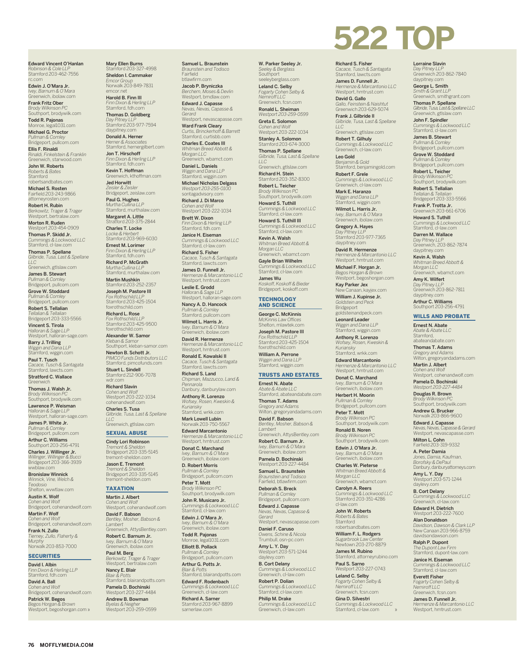Edward Vincent O'Hanlan *Robinson & Cole LLP* Stamford 203-462-7556 rc.com

Edwin J. O'Mara Jr. *Ivey, Barnum & O'Mara* Greenwich, ibolaw.com

Frank Fritz Ober *Brody Wilkinson PC* Southport, brodywilk.com

**Todd R. Pajonas**<br>Monroe, legal1031.com

Michael G. Proctor *Pullman & Comley* Bridgeport, pullcom.com

Ellis F. Rinaldi *Rinaldi, Finkelstein & Franklin* Greenwich, starwood.com

John W. Roberts *Roberts & Bates* Stamford robertsandbates.com Michael S. Rosten

Fairfield 203-243-9866 attorneyrosten.com Robert H. Rubin

*Berkowitz, Trager & Trager* Westport, bertralaw.com Morton R. Ruden Westport 203-454-0909

Thomas P. Skidd Jr. *Cummings & Lockwood LLC* Stamford, cl-law.com

Thomas P. Spellane *Gilbride, Tusa, Last & Spellane LLC*

Greenwich, gtlslaw.com James B. Stewart

*Pullman & Comley* Bridgeport, pullcom.com Grove W. Stoddard *Pullman & Comley* Bridgeport, pullcom.com

Robert S. Tellalian *Tellalian & Tellalian* Bridgeport 203-333-5566

**Vincent S. Tirola**<br>*Halloran & Sage LLP*<br>Westport, halloran-sage.com

Barry J. Trilling *Wiggin and Dana LLP* Stamford, wiggin.com Paul T. Tusch *Cacace, Tusch & Santagata* Stamford, lawcts.com

Stratford C. Wallace Greenwich Thomas J. Walsh Jr.

*Brody Wilkinson PC* Southport, brodywilk.com Lawrence P. Weisman

*Halloran & Sage LLP* Westport, halloran-sage.com James P. White Jr.

*Pullman & Comley* Bridgeport, pullcom.com Arthur C. Williams

Southport 203-256-4791 Charles J. Willinger Jr. *Willinger, Willinger & Bucci* Bridgeport 203-366-3939 wwblaw.com

Bronislaw Winnick *Winnick, Vine, Welch & Teodosio* Shelton, wvwtlaw.com

Austin K. Wolf *Cohen and Wolf* Bridgeport, cohenandwolf.com

Martin F. Wolf *Cohen and Wolf* Bridgeport, cohenandwolf.com

Frank N. Zullo *Tierney, Zullo, Flaherty & Murphy* Norwalk 203-853-7000

#### **SECURITIES**

David I. Albin *Finn Dixon & Herling LLP* Stamford, fdh.com **David A. Ball**<br>*Cohen and Wolf*<br>Bridgeport, cohenandwolf.com

**Patrick W. Begos**<br>*Begos Horgan & Brown*<br>Westport, begoshorgan.com »

**76 MOFFLYMEDIA.COM**

Mary Ellen Burns amford 203-327-4998 Sheldon I. Cammaker

*Emcor Group* Norwalk 203-849-7831 emcor.net Harold B. Finn III

*Finn Dixon & Herling LLP* Stamford, fdh.com Thomas D. Goldberg

*Day Pitney LLP* Stamford 203-977-7594 daypitney.com Donald A. Herner

*Herner & Associates* Stamford, hernergilbert.com Jon T. Hirschoff *Finn Dixon & Herling LLP* Stamford, fdh.com

Kevin T. Hoffman Greenwich, kthoffman.com Jed Horwitt

*Zeisler & Zeisler* Bridgeport, zeislaw.com Paul G. Hughes *Murtha Cullina LLP* Stamford, murthalaw.com

Margaret A. Little<br>Stratford 203-375-2844 Charles T. Locke

*Locke & Herbert* Stamford 203-969-6030 Ernest M. Lorimer

*Finn Dixon & Herling LLP* Stamford, fdh.com Richard P. McGrath *Murtha Cullina LLP* Stamford, murthalaw.com

Martin Mushkin Stamford 203-252-2357 Joseph M. Pastore III *Fox Rothschild LLP* Stamford 203-425-1504 foxrothschild.com

Richard L. Rose *Fox Rothschild LLP* Stamford 203-425-9500 foxrothschild.com Alexander W. Samor

*Kleban & Samor* Southport, kleban-samor.com Newton B. Schott Jr. *PIMCO Funds Distributors LLC* Stamford, pimcofunds.com

Stuart L. Sindell Stamford 212-906-7078 wdr.com Richard Slavin

*Cohen and Wolf* Westport 203-222-1034 cohenandwolf.com Charles S. Tusa *Gilbride, Tusa, Last & Spellane* 

*LLC* Greenwich, gtlslaw.com

# SEXUAL ABUSE

Cindy Lori Robinson *Tremont & Sheldon* Bridgeport 203-335-5145 tremont-sheldon.com

Jason E. Tremont *Tremont & Sheldon* Bridgeport 203-335-5145 tremont-sheldon.com

# TAXATION

Martin J. Albert *Cohen and Wolf* Westport, cohenandwolf.com David F. Babson *Bentley, Mosher, Babson & Lambert*

Greenwich, AttysBentley.com Robert C. Barnum Jr. *Ivey, Barnum & O'Mara* Greenwich, ibolaw.com

**Paul M. Berg**<br>*Berkowitz, Trager & Trager*<br>Westport, bertralaw.com Nancy E. Blair

*Blair & Potts* Stamford, blairandpotts.com Pamela D. Bochinski Westport 203-227-4484

Andrew B. Bowman *Byelas & Neigher* Westport 203-259-0599 Samuel L. Braunstein *Braunstein and Todisco* Fairfield btlawfirm.com

**Jacob P. Bryniczka**<br>*Berchem, Moses & Devlin*<br>Westport, bmdlaw.com Edward J. Capasse *Nevas, Nevas, Capasse &* 

*Gerard* Westport, nevascapasse.com Ward Frank Cleary *Curtis, Brinckerhoff & Barrett* Stamford, curtisbb.com

Charles E. Coates III *Whitman Breed Abbott & Morgan LLC* Greenwich, wbamct.com

Daniel L. Daniels *Wiggin and Dana LLP* Stamford, wiggin.com Michael Nicholas Delgass

*Westport 203-255-0100* sontagadvisory.com Richard J. Di Marco

*Cohen and Wolf* Westport 203-222-1034 Brett W. Dixon *Finn Dixon & Herling LLP* Stamford, fdh.com

Janice H. Eiseman

*Cummings & Lockwood LLC* Stamford, cl-law.com **Richard S. Fisher**<br>*Cacace, Tusch & Santagata*<br>Stamford, lawcts.com

James D. Funnell Jr. *Hermenze & Marcantonio LLC* Westport, hmtrust.com Leslie E. Grodd

*Halloran & Sage LLP* Westport, halloran-sage.com Nancy A. D. Hancock *Pullman & Comley* Stamford, pullcom.com

Wilmot L. Harris Jr. *Ivey, Barnum & O'Mara* Greenwich, ibolaw.com David R. Hermenze *Hermenze & Marcantonio LLC* Westport, hmtrust.com Ronald E. Kowalski II *Cacace, Tusch & Santagata* Stamford, lawcts.com Richard S. Land *Chipman, Mazzucco, Land & Pennarola* Danbury, danburylaw.com Anthony R. Lorenzo *Wofsey, Rosen, Kweskin & Kuriansky* namansky<br>Stamford, wrkk.com Mark Lowell Lubin Norwalk 203-750-5567

Edward Marcantonio *Hermenze & Marcantonio LLC* Westport, hmtrust.com Donat C. Marchand

*Ivey, Barnum & O'Mara* Greenwich, ibolaw.com D. Robert Morris *Pullman & Comley* Bridgeport, pullcom.com

Peter T. Mott *Brody Wilkinson PC* Southport, brodywilk.com

John R. Musicaro Jr. *Cummings & Lockwood LLC* Stamford, cl-law.com Edwin J. O'Mara Jr. *Ivey, Barnum & O'Mara* Greenwich, ibolaw.com

Todd R. Pajonas Monroe, legal1031.com Elliott B. Pollack

*Pullman & Comley* Bridgeport, pullcom.com Arthur G. Potts Jr.

*Blair & Potts* Stamford, blairandpotts.com Edward F. Rodenbach *Cummings & Lockwood LLC* Greenwich, cl-law.com

**Richard A. Sarner**<br>Stamford 203-967-8899<br>sarnerlaw.com

W. Parker Seeley Jr. *Seeley & Berglass* Southport seeleyberglass.com

**522 TOP** 

Lorraine Slavin *Day Pitney LLP* Greenwich 203-862-7840 daypitney.com George L. Smith *Smith & Grant LLP* Greenwich, smithgrant.com Thomas P. Spellane *Gilbride, Tusa, Last & Spellane LLC* Greenwich, gtlslaw.com John F. Spindler *Cummings & Lockwood LLC* Stamford, cl-law.com James B. Stewart *Pullman & Comley* Bridgeport, pullcom.com Grove W. Stoddard *Pullman & Comley* Bridgeport, pullcom.com Robert L. Teicher *Brody Wilkinson PC* Southport, brodywilk.com Robert S. Tellalian *Tellalian & Tellalian* Bridgeport 203-333-5566 Frank P. Trotta Jr. Greenwich 203-661-6706 Howard S. Tuthill *Cummings & Lockwood LLC* Stamford, cl-law.com Darren M. Wallace *Day Pitney LLP* Greenwich, 203-862-7874 daypitney.com Kevin A. Walsh *Whitman Breed Abbott & Morgan LLC* Greenwich, wbamct.com Amy K. Wilfert *Day Pitney LLP* Greenwich 203-862-7811 daypitney.com Arthur C. Williams Southport 203-256-4791 WILLS AND PROBATE Ernest N. Abate *Abate & Abate LLC* Stamford, abateandabate.com Thomas T. Adams *Gregory and Adams* Wilton, gregoryandadams.com Martin J. Albert *Cohen and Wolf* Westport, cohenandwolf.com Pamela D. Bochinski *Westport 203-227-4484* Douglas R. Brown *Brody Wilkinson PC* Southport, brodywilk.com Andrew G. Brucker Norwalk 203-866-9600 Edward J. Capasse *Nevas, Nevas, Capasse & Gerard* Westport, nevascapasse.com Milton L. Cohn Fairfield 203-319-9332 A. Peter Damia

*Jones, Damia, Kaufman, Borofsky & DePaul* Danbury, danburyattorneys.com **Amy L. Y. Day**<br>Westport 203-571-1244 daylevy.com

**B. Cort Delany**<br>*Cummings & Lockwood LLC*<br>Greenwich, cl-law.com Edward H. Dietrich Westport 203-222-7600 Alan Donaldson *Davidson, Dawson & Clark LLP* New Canaan 203-966-8759 davidsondawson.com Ralph P. Dupont *The Dupont Law Firm* Stamford, dupont-law.com Janice H. Eiseman *Cummings & Lockwood LLC* Stamford, cl-law.com Everett Fisher *Fogarty Cohen Selby & Nemiroff LLC* Greenwich, fcsn.com James D. Funnell Jr. *Hermenze & Marcantonio LLC* Westport, hmtrust.com

Richard S. Fisher *Cacace, Tusch & Santagata* Stamford, lawcts.com James D. Funnell Jr. *Hermenze & Marcantonio LLC* Westport, hmtrust.com David G. Gallo *Gallo, Feinstein & Naishtut* Greenwich 203-629-5074 Frank J. Gilbride II *Gilbride, Tusa, Last & Spellane* 

Greenwich, gtlslaw.com Robert T. Gilhuly *Cummings & Lockwood LLC* Greenwich, cl-law.com

*Benjamin & Gold* Stamford, benjamingold.com Robert F. Grele *Cummings & Lockwood LLC* Greenwich, cl-law.com Mark E. Haranzo *Wiggin and Dana LLP* Stamford, wiggin.com Wilmot L. Harris Jr. *Ivey, Barnum & O'Mara* Greenwich, ibolaw.com Gregory A. Hayes *Day Pitney LLP* Stamford 203-977-7365 daypitney.com David R. Hermenze *Hermenze & Marcantonio LLC* Westport, hmtrust.com Michael F. Horgan Jr. *Begos Horgan & Brown* Westport, begoshorgan.com Kay Parker Jex Canaan, kayjex.com William J. Kupinse Jr. *Goldstein and Peck* **Bridgeport** goldsteinandpeck.com Leonard Leader *Wiggin and Dana LLP* Stamford, wiggin.com Anthony R. Lorenzo *Wofsey, Rosen, Kweskin & Kuriansky* Stamford, wrkk.com Edward Marcantonio *Hermenze & Marcantonio LLC* Westport, hmtrust.com Donat C. Marchand *Ivey, Barnum & O'Mara* Greenwich, ibolaw.com Herbert H. Moorin *Pullman & Comley* Bridgeport, pullcom.com Peter T. Mott *Brody Wilkinson PC* Southport, brodywilk.com Ronald B. Noren *Brody Wilkinson PC* Southport, brodywilk.com Edwin J. O'Mara Jr. *Ivey, Barnum & O'Mara* Greenwich, ibolaw.com Charles W. Pieterse *Whitman Breed Abbott & Morgan LLC* Greenwich, wbamct.com Carolyn A. Reers *Cummings & Lockwood LLC* Stamford 203-351-4286

 $ILC$ 

Leo Gold

Leland C. Selby *Fogarty Cohen Selby & Nemiroff LLC* Greenwich, fcsn.com

Ronald L. Sheiman *Westport 203-259-0599* Greta E. Solomon

*Cohen and Wolf* Westport 203-222-1034 Stanley A. Solomon Stamford 203-674-3000

Thomas P. Spellane *Gilbride, Tusa, Last & Spellane LLC*

Greenwich, gtlslaw.com Richard H. Stein Stamford 203-352-8300 Robert L. Teicher

*Brody Wilkinson PC* Southport, brodywilk.com Howard S. Tuthill *Cummings & Lockwood LLC* Stamford, cl-law.com

Howard S. Tuthill III *Cummings & Lockwood LLC* Stamford, cl-law.com

Kevin A. Walsh *Whitman Breed Abbott & Morgan LLC* Greenwich, wbamct.com

Gayle Brian Wilhelm *Cummings & Lockwood LLC* Stamford, cl-law.com James Wu

*Koskoff, Koskoff & Bieder* Bridgeport, koskoff.com TECHNOLOGY

# AND SCIENCE

George C. McKinnis *McKinnis Law Offices* Shelton, mlawtek.com Joseph M. Pastore III *Fox Rothschild LLP* Stamford 203-425-1504

foxrothschild.com William A. Perrone *Wiggin and Dana LLP* Stamford, wiggin.com

# TRUSTS AND ESTATES

Ernest N. Abate

*Abate & Abate LLC* Stamford, abateandabate.com Thomas T. Adams *Gregory and Adams* Wilton, gregoryandadams.com David F. Babson

*Bentley, Mosher, Babson & Lambert* Greenwich, AttysBentley.com Robert C. Barnum Jr.

*Ivey, Barnum & O'Mara* Greenwich, ibolaw.com Pamela D. Bochinski Westport 203-227-4484

Samuel L. Braunstein *Braunstein and Todisco* Fairfield, btlawfirm.com

Deborah S. Breck *Pullman & Comley* Bridgeport, pullcom.com

Edward J. Capasse *Nevas, Nevas, Capasse & Gerard* Westport, nevascapasse.com cl-law.com John W. Roberts *Roberts & Bates* Stamford robertsandbates.com William F. L. Rodgers *Sugarbrook Law Center* Newtown 203-270-8879 James M. Rubino Stamford, attorneyrubino.com **Paul S. Sarno**<br>Westport 203-227-0743 Leland C. Selby *Fogarty Cohen Selby & Nemiroff LLC* Greenwich, fcsn.com Gina D. Silvestri *Cummings & Lockwood LLC* Stamford, cl-law.com »

Daniel F. Caruso *Owens, Schine & Nicola* Trumbull, osn-pc.com

**Amy L. Y. Day**<br>Westport 203-571-1244<br>daylevy.com

**B. Cort Delany**<br>*Cummings & Lockwood LLC*<br>Greenwich, cl-law.com

**Robert P. Dolian**<br>*Cummings & Lockwood LLC*<br>Stamford, cl-law.com Philip M. Drake

*Cummings & Lockwood LLC* Greenwich, cl-law.com